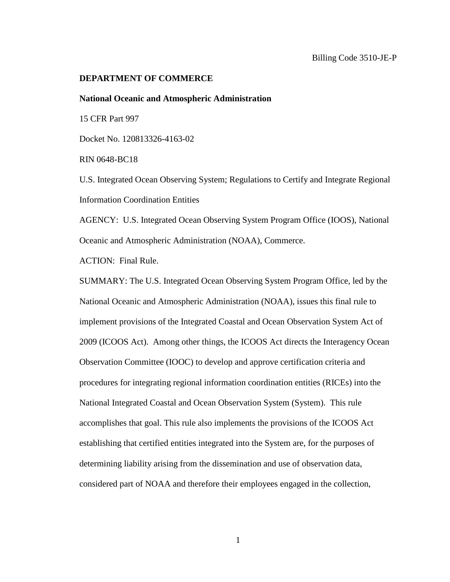### **DEPARTMENT OF COMMERCE**

#### **National Oceanic and Atmospheric Administration**

15 CFR Part 997

Docket No. 120813326-4163-02

RIN 0648-BC18

U.S. Integrated Ocean Observing System; Regulations to Certify and Integrate Regional Information Coordination Entities

AGENCY: U.S. Integrated Ocean Observing System Program Office (IOOS), National Oceanic and Atmospheric Administration (NOAA), Commerce.

ACTION: Final Rule.

SUMMARY: The U.S. Integrated Ocean Observing System Program Office, led by the National Oceanic and Atmospheric Administration (NOAA), issues this final rule to implement provisions of the Integrated Coastal and Ocean Observation System Act of 2009 (ICOOS Act). Among other things, the ICOOS Act directs the Interagency Ocean Observation Committee (IOOC) to develop and approve certification criteria and procedures for integrating regional information coordination entities (RICEs) into the National Integrated Coastal and Ocean Observation System (System). This rule accomplishes that goal. This rule also implements the provisions of the ICOOS Act establishing that certified entities integrated into the System are, for the purposes of determining liability arising from the dissemination and use of observation data, considered part of NOAA and therefore their employees engaged in the collection,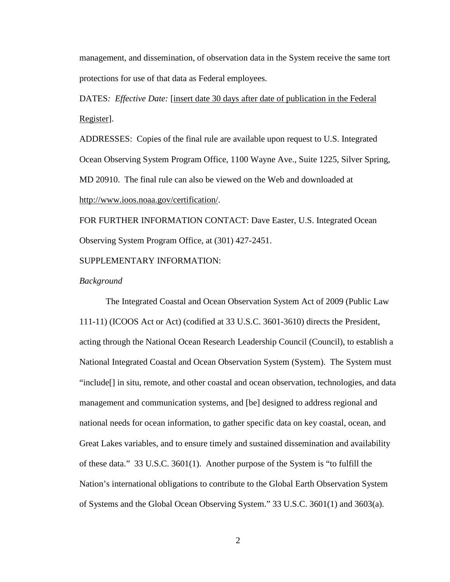management, and dissemination, of observation data in the System receive the same tort protections for use of that data as Federal employees.

DATES*: Effective Date:* [insert date 30 days after date of publication in the Federal Register].

ADDRESSES: Copies of the final rule are available upon request to U.S. Integrated Ocean Observing System Program Office, 1100 Wayne Ave., Suite 1225, Silver Spring, MD 20910. The final rule can also be viewed on the Web and downloaded at [http://www.ioos.noaa.gov/certification/.](http://www.ioos.noaa.gov/certification/)

FOR FURTHER INFORMATION CONTACT: Dave Easter, U.S. Integrated Ocean Observing System Program Office, at (301) 427-2451.

# SUPPLEMENTARY INFORMATION:

### *Background*

The Integrated Coastal and Ocean Observation System Act of 2009 (Public Law 111-11) (ICOOS Act or Act) (codified at 33 U.S.C. 3601-3610) directs the President, acting through the National Ocean Research Leadership Council (Council), to establish a National Integrated Coastal and Ocean Observation System (System). The System must "include[] in situ, remote, and other coastal and ocean observation, technologies, and data management and communication systems, and [be] designed to address regional and national needs for ocean information, to gather specific data on key coastal, ocean, and Great Lakes variables, and to ensure timely and sustained dissemination and availability of these data." 33 U.S.C. 3601(1). Another purpose of the System is "to fulfill the Nation's international obligations to contribute to the Global Earth Observation System of Systems and the Global Ocean Observing System." 33 U.S.C. 3601(1) and 3603(a).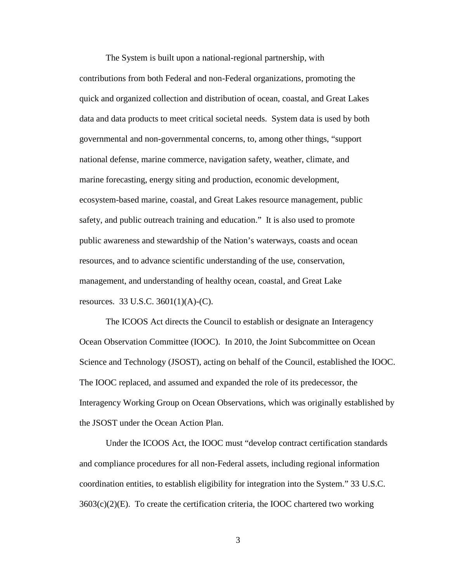The System is built upon a national-regional partnership, with contributions from both Federal and non-Federal organizations, promoting the quick and organized collection and distribution of ocean, coastal, and Great Lakes data and data products to meet critical societal needs. System data is used by both governmental and non-governmental concerns, to, among other things, "support national defense, marine commerce, navigation safety, weather, climate, and marine forecasting, energy siting and production, economic development, ecosystem-based marine, coastal, and Great Lakes resource management, public safety, and public outreach training and education." It is also used to promote public awareness and stewardship of the Nation's waterways, coasts and ocean resources, and to advance scientific understanding of the use, conservation, management, and understanding of healthy ocean, coastal, and Great Lake resources. 33 U.S.C. 3601(1)(A)-(C).

The ICOOS Act directs the Council to establish or designate an Interagency Ocean Observation Committee (IOOC). In 2010, the Joint Subcommittee on Ocean Science and Technology (JSOST), acting on behalf of the Council, established the IOOC. The IOOC replaced, and assumed and expanded the role of its predecessor, the Interagency Working Group on Ocean Observations, which was originally established by the JSOST under the Ocean Action Plan.

Under the ICOOS Act, the IOOC must "develop contract certification standards and compliance procedures for all non-Federal assets, including regional information coordination entities, to establish eligibility for integration into the System." 33 U.S.C.  $3603(c)(2)(E)$ . To create the certification criteria, the IOOC chartered two working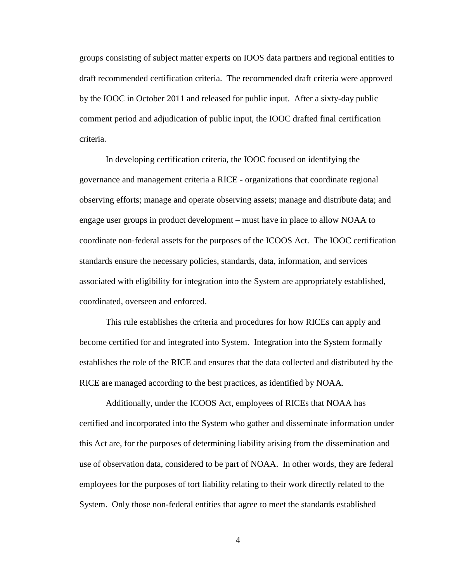groups consisting of subject matter experts on IOOS data partners and regional entities to draft recommended certification criteria. The recommended draft criteria were approved by the IOOC in October 2011 and released for public input. After a sixty-day public comment period and adjudication of public input, the IOOC drafted final certification criteria.

In developing certification criteria, the IOOC focused on identifying the governance and management criteria a RICE - organizations that coordinate regional observing efforts; manage and operate observing assets; manage and distribute data; and engage user groups in product development – must have in place to allow NOAA to coordinate non‐federal assets for the purposes of the ICOOS Act. The IOOC certification standards ensure the necessary policies, standards, data, information, and services associated with eligibility for integration into the System are appropriately established, coordinated, overseen and enforced.

This rule establishes the criteria and procedures for how RICEs can apply and become certified for and integrated into System. Integration into the System formally establishes the role of the RICE and ensures that the data collected and distributed by the RICE are managed according to the best practices, as identified by NOAA.

Additionally, under the ICOOS Act, employees of RICEs that NOAA has certified and incorporated into the System who gather and disseminate information under this Act are, for the purposes of determining liability arising from the dissemination and use of observation data, considered to be part of NOAA. In other words, they are federal employees for the purposes of tort liability relating to their work directly related to the System. Only those non-federal entities that agree to meet the standards established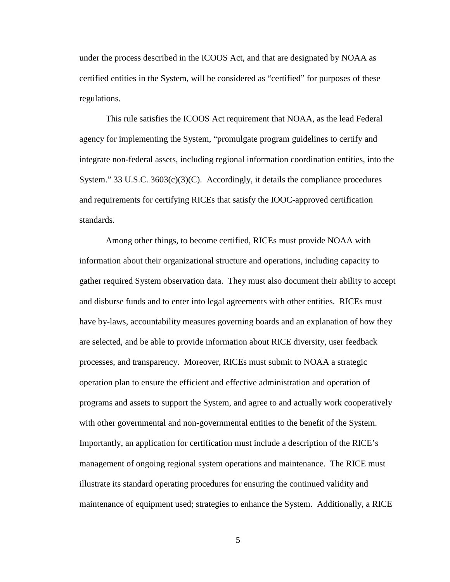under the process described in the ICOOS Act, and that are designated by NOAA as certified entities in the System, will be considered as "certified" for purposes of these regulations.

This rule satisfies the ICOOS Act requirement that NOAA, as the lead Federal agency for implementing the System, "promulgate program guidelines to certify and integrate non-federal assets, including regional information coordination entities, into the System." 33 U.S.C. 3603(c)(3)(C). Accordingly, it details the compliance procedures and requirements for certifying RICEs that satisfy the IOOC-approved certification standards.

Among other things, to become certified, RICEs must provide NOAA with information about their organizational structure and operations, including capacity to gather required System observation data. They must also document their ability to accept and disburse funds and to enter into legal agreements with other entities. RICEs must have by-laws, accountability measures governing boards and an explanation of how they are selected, and be able to provide information about RICE diversity, user feedback processes, and transparency. Moreover, RICEs must submit to NOAA a strategic operation plan to ensure the efficient and effective administration and operation of programs and assets to support the System, and agree to and actually work cooperatively with other governmental and non-governmental entities to the benefit of the System. Importantly, an application for certification must include a description of the RICE's management of ongoing regional system operations and maintenance. The RICE must illustrate its standard operating procedures for ensuring the continued validity and maintenance of equipment used; strategies to enhance the System. Additionally, a RICE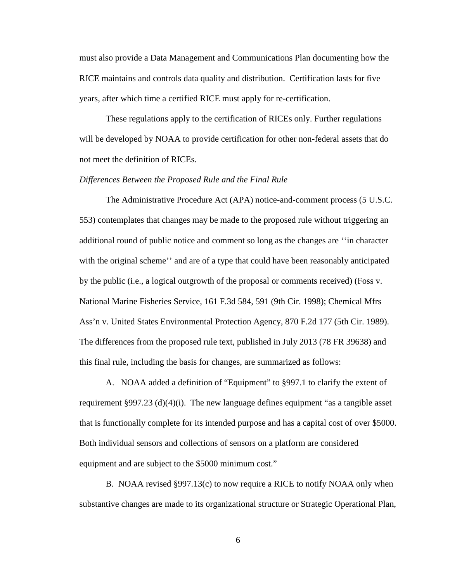must also provide a Data Management and Communications Plan documenting how the RICE maintains and controls data quality and distribution. Certification lasts for five years, after which time a certified RICE must apply for re-certification.

These regulations apply to the certification of RICEs only. Further regulations will be developed by NOAA to provide certification for other non-federal assets that do not meet the definition of RICEs.

### *Differences Between the Proposed Rule and the Final Rule*

The Administrative Procedure Act (APA) notice-and-comment process (5 U.S.C. 553) contemplates that changes may be made to the proposed rule without triggering an additional round of public notice and comment so long as the changes are ''in character with the original scheme'' and are of a type that could have been reasonably anticipated by the public (i.e., a logical outgrowth of the proposal or comments received) (Foss v. National Marine Fisheries Service, 161 F.3d 584, 591 (9th Cir. 1998); Chemical Mfrs Ass'n v. United States Environmental Protection Agency, 870 F.2d 177 (5th Cir. 1989). The differences from the proposed rule text, published in July 2013 (78 FR 39638) and this final rule, including the basis for changes, are summarized as follows:

A. NOAA added a definition of "Equipment" to §997.1 to clarify the extent of requirement §997.23 (d)(4)(i). The new language defines equipment "as a tangible asset that is functionally complete for its intended purpose and has a capital cost of over \$5000. Both individual sensors and collections of sensors on a platform are considered equipment and are subject to the \$5000 minimum cost."

B. NOAA revised §997.13(c) to now require a RICE to notify NOAA only when substantive changes are made to its organizational structure or Strategic Operational Plan,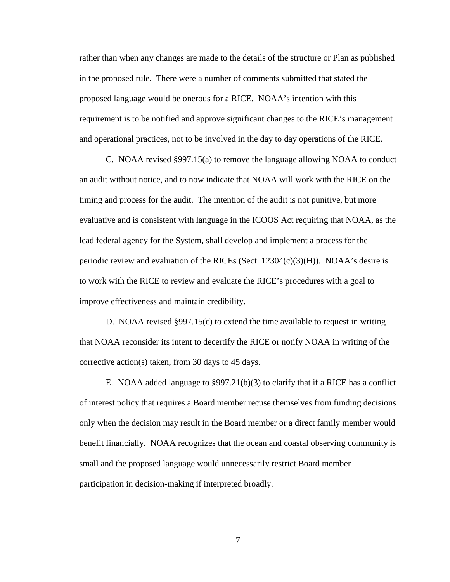rather than when any changes are made to the details of the structure or Plan as published in the proposed rule. There were a number of comments submitted that stated the proposed language would be onerous for a RICE. NOAA's intention with this requirement is to be notified and approve significant changes to the RICE's management and operational practices, not to be involved in the day to day operations of the RICE.

C. NOAA revised §997.15(a) to remove the language allowing NOAA to conduct an audit without notice, and to now indicate that NOAA will work with the RICE on the timing and process for the audit. The intention of the audit is not punitive, but more evaluative and is consistent with language in the ICOOS Act requiring that NOAA, as the lead federal agency for the System, shall develop and implement a process for the periodic review and evaluation of the RICEs (Sect.  $12304(c)(3)(H)$ ). NOAA's desire is to work with the RICE to review and evaluate the RICE's procedures with a goal to improve effectiveness and maintain credibility.

D. NOAA revised §997.15(c) to extend the time available to request in writing that NOAA reconsider its intent to decertify the RICE or notify NOAA in writing of the corrective action(s) taken, from 30 days to 45 days.

E. NOAA added language to  $\S 997.21(b)(3)$  to clarify that if a RICE has a conflict of interest policy that requires a Board member recuse themselves from funding decisions only when the decision may result in the Board member or a direct family member would benefit financially. NOAA recognizes that the ocean and coastal observing community is small and the proposed language would unnecessarily restrict Board member participation in decision-making if interpreted broadly.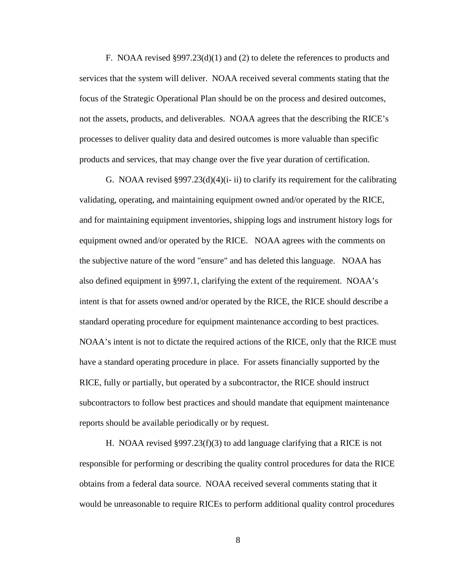F. NOAA revised §997.23(d)(1) and (2) to delete the references to products and services that the system will deliver. NOAA received several comments stating that the focus of the Strategic Operational Plan should be on the process and desired outcomes, not the assets, products, and deliverables. NOAA agrees that the describing the RICE's processes to deliver quality data and desired outcomes is more valuable than specific products and services, that may change over the five year duration of certification.

G. NOAA revised  $\S 997.23(d)(4)(i-ii)$  to clarify its requirement for the calibrating validating, operating, and maintaining equipment owned and/or operated by the RICE, and for maintaining equipment inventories, shipping logs and instrument history logs for equipment owned and/or operated by the RICE. NOAA agrees with the comments on the subjective nature of the word "ensure" and has deleted this language. NOAA has also defined equipment in §997.1, clarifying the extent of the requirement. NOAA's intent is that for assets owned and/or operated by the RICE, the RICE should describe a standard operating procedure for equipment maintenance according to best practices. NOAA's intent is not to dictate the required actions of the RICE, only that the RICE must have a standard operating procedure in place. For assets financially supported by the RICE, fully or partially, but operated by a subcontractor, the RICE should instruct subcontractors to follow best practices and should mandate that equipment maintenance reports should be available periodically or by request.

H. NOAA revised §997.23(f)(3) to add language clarifying that a RICE is not responsible for performing or describing the quality control procedures for data the RICE obtains from a federal data source. NOAA received several comments stating that it would be unreasonable to require RICEs to perform additional quality control procedures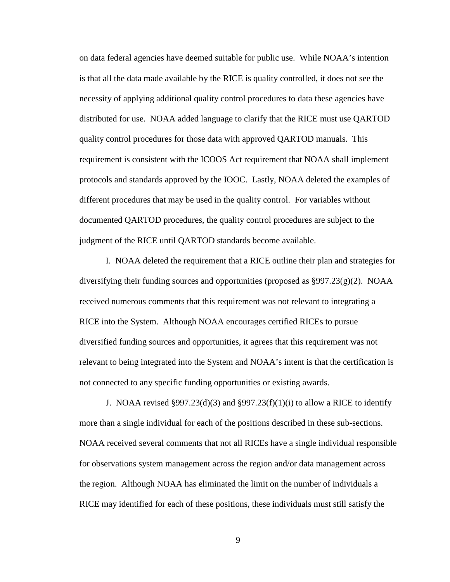on data federal agencies have deemed suitable for public use. While NOAA's intention is that all the data made available by the RICE is quality controlled, it does not see the necessity of applying additional quality control procedures to data these agencies have distributed for use. NOAA added language to clarify that the RICE must use QARTOD quality control procedures for those data with approved QARTOD manuals. This requirement is consistent with the ICOOS Act requirement that NOAA shall implement protocols and standards approved by the IOOC. Lastly, NOAA deleted the examples of different procedures that may be used in the quality control. For variables without documented QARTOD procedures, the quality control procedures are subject to the judgment of the RICE until QARTOD standards become available.

I. NOAA deleted the requirement that a RICE outline their plan and strategies for diversifying their funding sources and opportunities (proposed as  $\S 997.23(g)(2)$ . NOAA received numerous comments that this requirement was not relevant to integrating a RICE into the System. Although NOAA encourages certified RICEs to pursue diversified funding sources and opportunities, it agrees that this requirement was not relevant to being integrated into the System and NOAA's intent is that the certification is not connected to any specific funding opportunities or existing awards.

J. NOAA revised §997.23(d)(3) and §997.23(f)(1)(i) to allow a RICE to identify more than a single individual for each of the positions described in these sub-sections. NOAA received several comments that not all RICEs have a single individual responsible for observations system management across the region and/or data management across the region. Although NOAA has eliminated the limit on the number of individuals a RICE may identified for each of these positions, these individuals must still satisfy the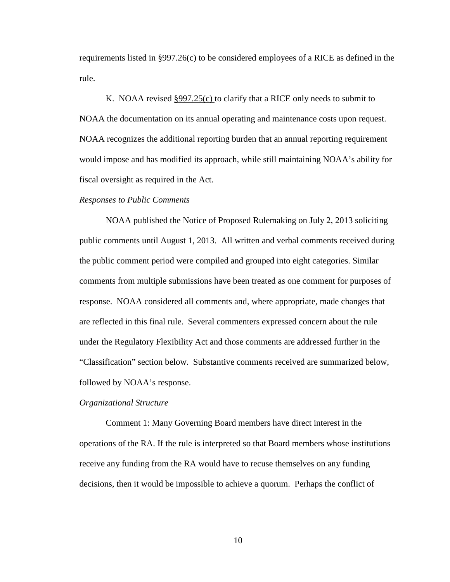requirements listed in §997.26(c) to be considered employees of a RICE as defined in the rule.

K. NOAA revised §997.25(c) to clarify that a RICE only needs to submit to NOAA the documentation on its annual operating and maintenance costs upon request. NOAA recognizes the additional reporting burden that an annual reporting requirement would impose and has modified its approach, while still maintaining NOAA's ability for fiscal oversight as required in the Act.

#### *Responses to Public Comments*

NOAA published the Notice of Proposed Rulemaking on July 2, 2013 soliciting public comments until August 1, 2013. All written and verbal comments received during the public comment period were compiled and grouped into eight categories. Similar comments from multiple submissions have been treated as one comment for purposes of response. NOAA considered all comments and, where appropriate, made changes that are reflected in this final rule. Several commenters expressed concern about the rule under the Regulatory Flexibility Act and those comments are addressed further in the "Classification" section below. Substantive comments received are summarized below, followed by NOAA's response.

#### *Organizational Structure*

Comment 1: Many Governing Board members have direct interest in the operations of the RA. If the rule is interpreted so that Board members whose institutions receive any funding from the RA would have to recuse themselves on any funding decisions, then it would be impossible to achieve a quorum. Perhaps the conflict of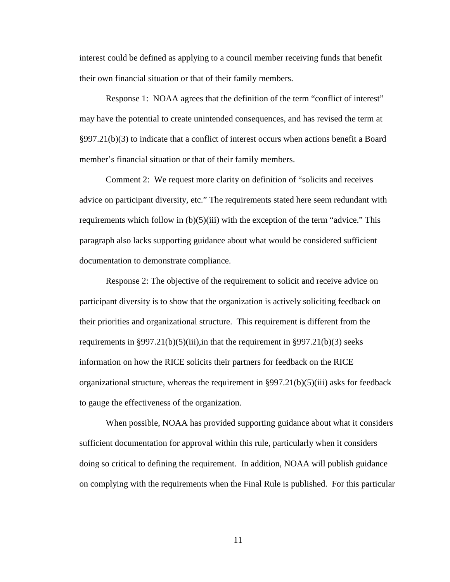interest could be defined as applying to a council member receiving funds that benefit their own financial situation or that of their family members.

Response 1: NOAA agrees that the definition of the term "conflict of interest" may have the potential to create unintended consequences, and has revised the term at  $\S 997.21(b)(3)$  to indicate that a conflict of interest occurs when actions benefit a Board member's financial situation or that of their family members.

Comment 2: We request more clarity on definition of "solicits and receives advice on participant diversity, etc." The requirements stated here seem redundant with requirements which follow in  $(b)(5)(iii)$  with the exception of the term "advice." This paragraph also lacks supporting guidance about what would be considered sufficient documentation to demonstrate compliance.

Response 2: The objective of the requirement to solicit and receive advice on participant diversity is to show that the organization is actively soliciting feedback on their priorities and organizational structure. This requirement is different from the requirements in §997.21(b)(5)(iii),in that the requirement in §997.21(b)(3) seeks information on how the RICE solicits their partners for feedback on the RICE organizational structure, whereas the requirement in  $\S 997.21(b)(5)(iii)$  asks for feedback to gauge the effectiveness of the organization.

When possible, NOAA has provided supporting guidance about what it considers sufficient documentation for approval within this rule, particularly when it considers doing so critical to defining the requirement. In addition, NOAA will publish guidance on complying with the requirements when the Final Rule is published. For this particular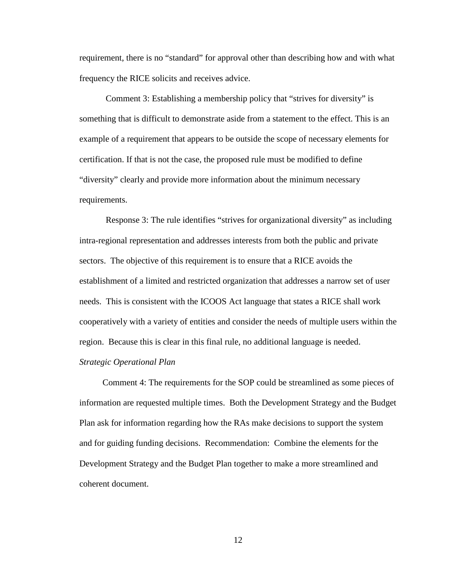requirement, there is no "standard" for approval other than describing how and with what frequency the RICE solicits and receives advice.

Comment 3: Establishing a membership policy that "strives for diversity" is something that is difficult to demonstrate aside from a statement to the effect. This is an example of a requirement that appears to be outside the scope of necessary elements for certification. If that is not the case, the proposed rule must be modified to define "diversity" clearly and provide more information about the minimum necessary requirements.

Response 3: The rule identifies "strives for organizational diversity" as including intra-regional representation and addresses interests from both the public and private sectors. The objective of this requirement is to ensure that a RICE avoids the establishment of a limited and restricted organization that addresses a narrow set of user needs. This is consistent with the ICOOS Act language that states a RICE shall work cooperatively with a variety of entities and consider the needs of multiple users within the region. Because this is clear in this final rule, no additional language is needed. *Strategic Operational Plan* 

Comment 4: The requirements for the SOP could be streamlined as some pieces of information are requested multiple times. Both the Development Strategy and the Budget Plan ask for information regarding how the RAs make decisions to support the system and for guiding funding decisions. Recommendation: Combine the elements for the Development Strategy and the Budget Plan together to make a more streamlined and coherent document.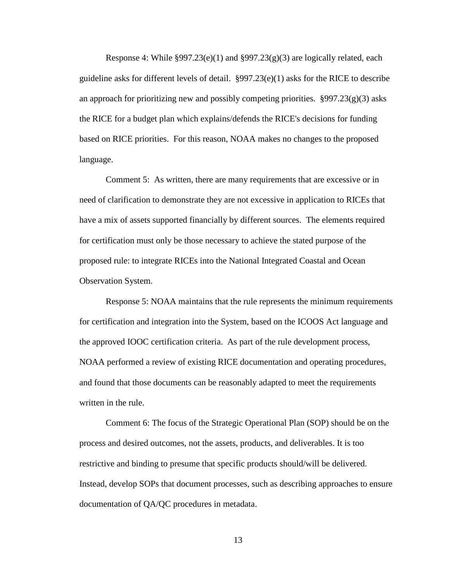Response 4: While  $\S 997.23(e)(1)$  and  $\S 997.23(g)(3)$  are logically related, each guideline asks for different levels of detail. §997.23(e)(1) asks for the RICE to describe an approach for prioritizing new and possibly competing priorities.  $\S 997.23(g)(3)$  asks the RICE for a budget plan which explains/defends the RICE's decisions for funding based on RICE priorities. For this reason, NOAA makes no changes to the proposed language.

Comment 5: As written, there are many requirements that are excessive or in need of clarification to demonstrate they are not excessive in application to RICEs that have a mix of assets supported financially by different sources. The elements required for certification must only be those necessary to achieve the stated purpose of the proposed rule: to integrate RICEs into the National Integrated Coastal and Ocean Observation System.

Response 5: NOAA maintains that the rule represents the minimum requirements for certification and integration into the System, based on the ICOOS Act language and the approved IOOC certification criteria. As part of the rule development process, NOAA performed a review of existing RICE documentation and operating procedures, and found that those documents can be reasonably adapted to meet the requirements written in the rule.

Comment 6: The focus of the Strategic Operational Plan (SOP) should be on the process and desired outcomes, not the assets, products, and deliverables. It is too restrictive and binding to presume that specific products should/will be delivered. Instead, develop SOPs that document processes, such as describing approaches to ensure documentation of QA/QC procedures in metadata.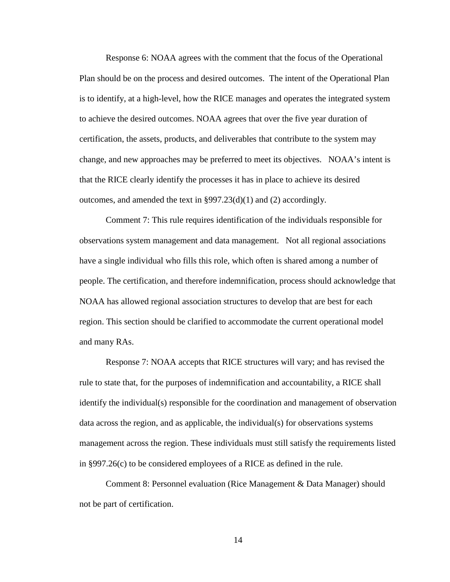Response 6: NOAA agrees with the comment that the focus of the Operational Plan should be on the process and desired outcomes. The intent of the Operational Plan is to identify, at a high-level, how the RICE manages and operates the integrated system to achieve the desired outcomes. NOAA agrees that over the five year duration of certification, the assets, products, and deliverables that contribute to the system may change, and new approaches may be preferred to meet its objectives. NOAA's intent is that the RICE clearly identify the processes it has in place to achieve its desired outcomes, and amended the text in §997.23(d)(1) and (2) accordingly.

Comment 7: This rule requires identification of the individuals responsible for observations system management and data management. Not all regional associations have a single individual who fills this role, which often is shared among a number of people. The certification, and therefore indemnification, process should acknowledge that NOAA has allowed regional association structures to develop that are best for each region. This section should be clarified to accommodate the current operational model and many RAs.

Response 7: NOAA accepts that RICE structures will vary; and has revised the rule to state that, for the purposes of indemnification and accountability, a RICE shall identify the individual(s) responsible for the coordination and management of observation data across the region, and as applicable, the individual(s) for observations systems management across the region. These individuals must still satisfy the requirements listed in §997.26(c) to be considered employees of a RICE as defined in the rule.

Comment 8: Personnel evaluation (Rice Management & Data Manager) should not be part of certification.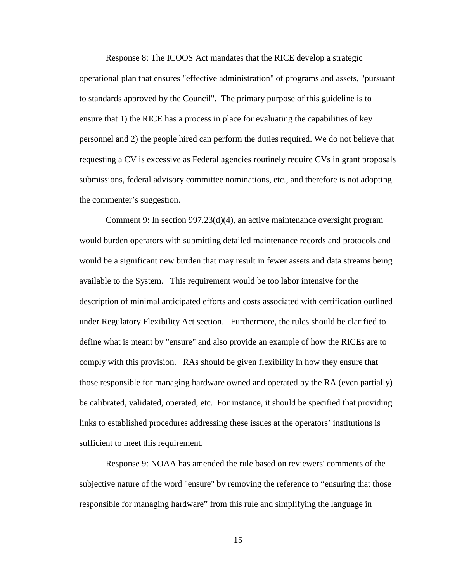Response 8: The ICOOS Act mandates that the RICE develop a strategic operational plan that ensures "effective administration" of programs and assets, "pursuant to standards approved by the Council". The primary purpose of this guideline is to ensure that 1) the RICE has a process in place for evaluating the capabilities of key personnel and 2) the people hired can perform the duties required. We do not believe that requesting a CV is excessive as Federal agencies routinely require CVs in grant proposals submissions, federal advisory committee nominations, etc., and therefore is not adopting the commenter's suggestion.

Comment 9: In section  $997.23(d)(4)$ , an active maintenance oversight program would burden operators with submitting detailed maintenance records and protocols and would be a significant new burden that may result in fewer assets and data streams being available to the System. This requirement would be too labor intensive for the description of minimal anticipated efforts and costs associated with certification outlined under Regulatory Flexibility Act section. Furthermore, the rules should be clarified to define what is meant by "ensure" and also provide an example of how the RICEs are to comply with this provision. RAs should be given flexibility in how they ensure that those responsible for managing hardware owned and operated by the RA (even partially) be calibrated, validated, operated, etc. For instance, it should be specified that providing links to established procedures addressing these issues at the operators' institutions is sufficient to meet this requirement.

Response 9: NOAA has amended the rule based on reviewers' comments of the subjective nature of the word "ensure" by removing the reference to "ensuring that those responsible for managing hardware" from this rule and simplifying the language in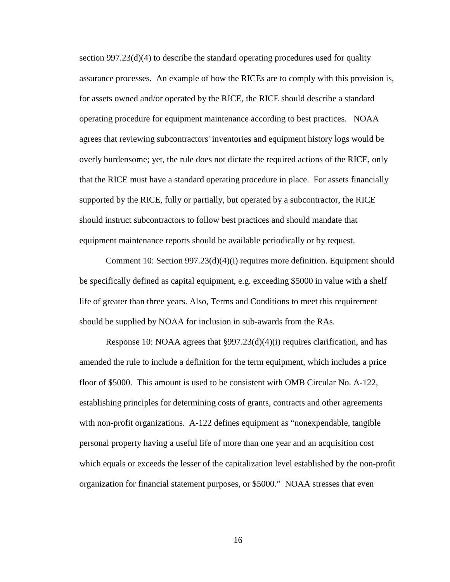section  $997.23(d)(4)$  to describe the standard operating procedures used for quality assurance processes. An example of how the RICEs are to comply with this provision is, for assets owned and/or operated by the RICE, the RICE should describe a standard operating procedure for equipment maintenance according to best practices. NOAA agrees that reviewing subcontractors' inventories and equipment history logs would be overly burdensome; yet, the rule does not dictate the required actions of the RICE, only that the RICE must have a standard operating procedure in place. For assets financially supported by the RICE, fully or partially, but operated by a subcontractor, the RICE should instruct subcontractors to follow best practices and should mandate that equipment maintenance reports should be available periodically or by request.

Comment 10: Section 997.23(d)(4)(i) requires more definition. Equipment should be specifically defined as capital equipment, e.g. exceeding \$5000 in value with a shelf life of greater than three years. Also, Terms and Conditions to meet this requirement should be supplied by NOAA for inclusion in sub-awards from the RAs.

Response 10: NOAA agrees that §997.23(d)(4)(i) requires clarification, and has amended the rule to include a definition for the term equipment, which includes a price floor of \$5000. This amount is used to be consistent with OMB Circular No. A-122, establishing principles for determining costs of grants, contracts and other agreements with non-profit organizations. A-122 defines equipment as "nonexpendable, tangible personal property having a useful life of more than one year and an acquisition cost which equals or exceeds the lesser of the capitalization level established by the non-profit organization for financial statement purposes, or \$5000." NOAA stresses that even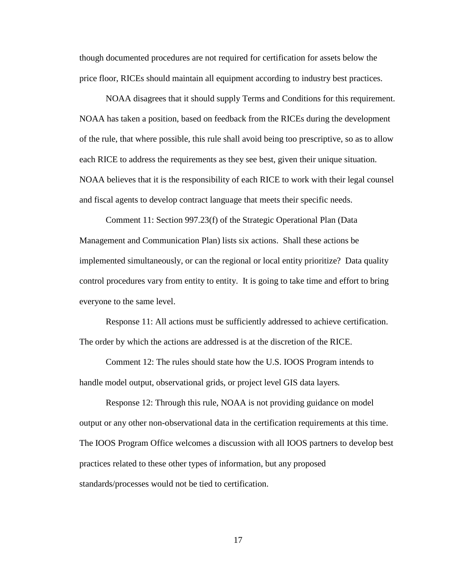though documented procedures are not required for certification for assets below the price floor, RICEs should maintain all equipment according to industry best practices.

NOAA disagrees that it should supply Terms and Conditions for this requirement. NOAA has taken a position, based on feedback from the RICEs during the development of the rule, that where possible, this rule shall avoid being too prescriptive, so as to allow each RICE to address the requirements as they see best, given their unique situation. NOAA believes that it is the responsibility of each RICE to work with their legal counsel and fiscal agents to develop contract language that meets their specific needs.

Comment 11: Section 997.23(f) of the Strategic Operational Plan (Data Management and Communication Plan) lists six actions. Shall these actions be implemented simultaneously, or can the regional or local entity prioritize? Data quality control procedures vary from entity to entity. It is going to take time and effort to bring everyone to the same level.

Response 11: All actions must be sufficiently addressed to achieve certification. The order by which the actions are addressed is at the discretion of the RICE.

Comment 12: The rules should state how the U.S. IOOS Program intends to handle model output, observational grids, or project level GIS data layers*.*

Response 12: Through this rule, NOAA is not providing guidance on model output or any other non-observational data in the certification requirements at this time. The IOOS Program Office welcomes a discussion with all IOOS partners to develop best practices related to these other types of information, but any proposed standards/processes would not be tied to certification.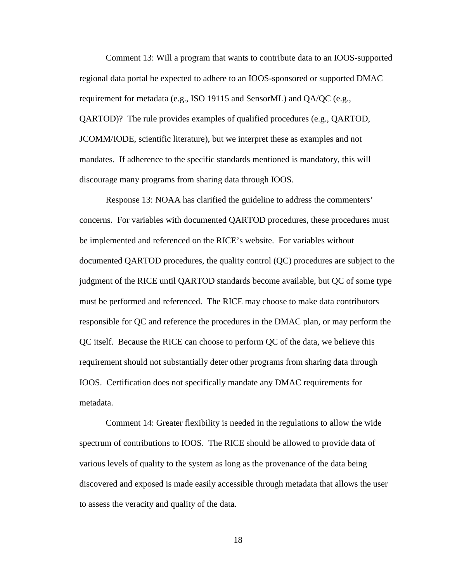Comment 13: Will a program that wants to contribute data to an IOOS-supported regional data portal be expected to adhere to an IOOS-sponsored or supported DMAC requirement for metadata (e.g., ISO 19115 and SensorML) and QA/QC (e.g., QARTOD)? The rule provides examples of qualified procedures (e.g., QARTOD, JCOMM/IODE, scientific literature), but we interpret these as examples and not mandates. If adherence to the specific standards mentioned is mandatory, this will discourage many programs from sharing data through IOOS.

Response 13: NOAA has clarified the guideline to address the commenters' concerns. For variables with documented QARTOD procedures, these procedures must be implemented and referenced on the RICE's website. For variables without documented QARTOD procedures, the quality control (QC) procedures are subject to the judgment of the RICE until QARTOD standards become available, but QC of some type must be performed and referenced. The RICE may choose to make data contributors responsible for QC and reference the procedures in the DMAC plan, or may perform the QC itself. Because the RICE can choose to perform QC of the data, we believe this requirement should not substantially deter other programs from sharing data through IOOS. Certification does not specifically mandate any DMAC requirements for metadata.

Comment 14: Greater flexibility is needed in the regulations to allow the wide spectrum of contributions to IOOS. The RICE should be allowed to provide data of various levels of quality to the system as long as the provenance of the data being discovered and exposed is made easily accessible through metadata that allows the user to assess the veracity and quality of the data.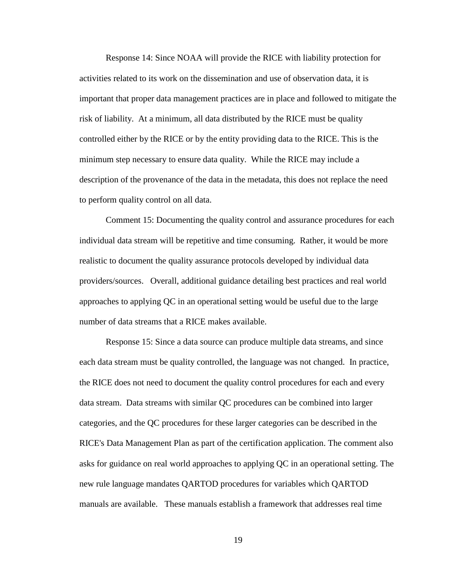Response 14: Since NOAA will provide the RICE with liability protection for activities related to its work on the dissemination and use of observation data, it is important that proper data management practices are in place and followed to mitigate the risk of liability. At a minimum, all data distributed by the RICE must be quality controlled either by the RICE or by the entity providing data to the RICE. This is the minimum step necessary to ensure data quality. While the RICE may include a description of the provenance of the data in the metadata, this does not replace the need to perform quality control on all data.

Comment 15: Documenting the quality control and assurance procedures for each individual data stream will be repetitive and time consuming. Rather, it would be more realistic to document the quality assurance protocols developed by individual data providers/sources. Overall, additional guidance detailing best practices and real world approaches to applying QC in an operational setting would be useful due to the large number of data streams that a RICE makes available.

Response 15: Since a data source can produce multiple data streams, and since each data stream must be quality controlled, the language was not changed. In practice, the RICE does not need to document the quality control procedures for each and every data stream. Data streams with similar QC procedures can be combined into larger categories, and the QC procedures for these larger categories can be described in the RICE's Data Management Plan as part of the certification application. The comment also asks for guidance on real world approaches to applying QC in an operational setting. The new rule language mandates QARTOD procedures for variables which QARTOD manuals are available. These manuals establish a framework that addresses real time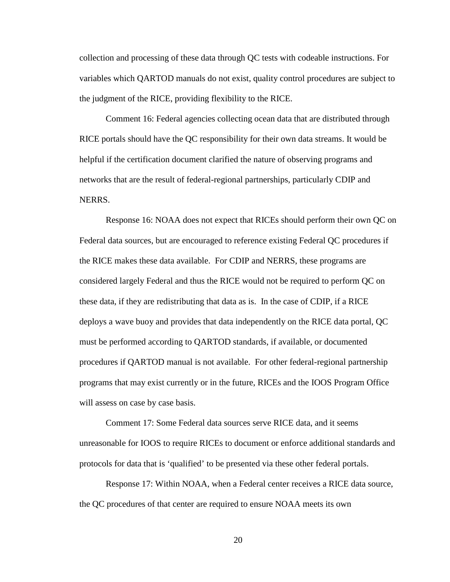collection and processing of these data through QC tests with codeable instructions. For variables which QARTOD manuals do not exist, quality control procedures are subject to the judgment of the RICE, providing flexibility to the RICE.

Comment 16: Federal agencies collecting ocean data that are distributed through RICE portals should have the QC responsibility for their own data streams. It would be helpful if the certification document clarified the nature of observing programs and networks that are the result of federal-regional partnerships, particularly CDIP and NERRS.

Response 16: NOAA does not expect that RICEs should perform their own QC on Federal data sources, but are encouraged to reference existing Federal QC procedures if the RICE makes these data available. For CDIP and NERRS, these programs are considered largely Federal and thus the RICE would not be required to perform QC on these data, if they are redistributing that data as is. In the case of CDIP, if a RICE deploys a wave buoy and provides that data independently on the RICE data portal, QC must be performed according to QARTOD standards, if available, or documented procedures if QARTOD manual is not available. For other federal-regional partnership programs that may exist currently or in the future, RICEs and the IOOS Program Office will assess on case by case basis.

Comment 17: Some Federal data sources serve RICE data, and it seems unreasonable for IOOS to require RICEs to document or enforce additional standards and protocols for data that is 'qualified' to be presented via these other federal portals.

Response 17: Within NOAA, when a Federal center receives a RICE data source, the QC procedures of that center are required to ensure NOAA meets its own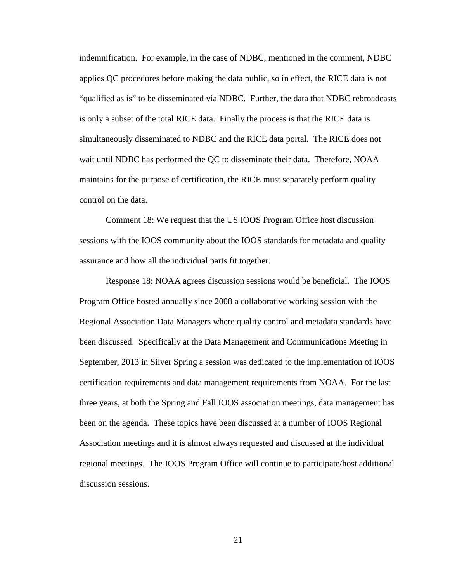indemnification. For example, in the case of NDBC, mentioned in the comment, NDBC applies QC procedures before making the data public, so in effect, the RICE data is not "qualified as is" to be disseminated via NDBC. Further, the data that NDBC rebroadcasts is only a subset of the total RICE data. Finally the process is that the RICE data is simultaneously disseminated to NDBC and the RICE data portal. The RICE does not wait until NDBC has performed the QC to disseminate their data. Therefore, NOAA maintains for the purpose of certification, the RICE must separately perform quality control on the data.

Comment 18: We request that the US IOOS Program Office host discussion sessions with the IOOS community about the IOOS standards for metadata and quality assurance and how all the individual parts fit together.

Response 18: NOAA agrees discussion sessions would be beneficial. The IOOS Program Office hosted annually since 2008 a collaborative working session with the Regional Association Data Managers where quality control and metadata standards have been discussed. Specifically at the Data Management and Communications Meeting in September, 2013 in Silver Spring a session was dedicated to the implementation of IOOS certification requirements and data management requirements from NOAA. For the last three years, at both the Spring and Fall IOOS association meetings, data management has been on the agenda. These topics have been discussed at a number of IOOS Regional Association meetings and it is almost always requested and discussed at the individual regional meetings. The IOOS Program Office will continue to participate/host additional discussion sessions.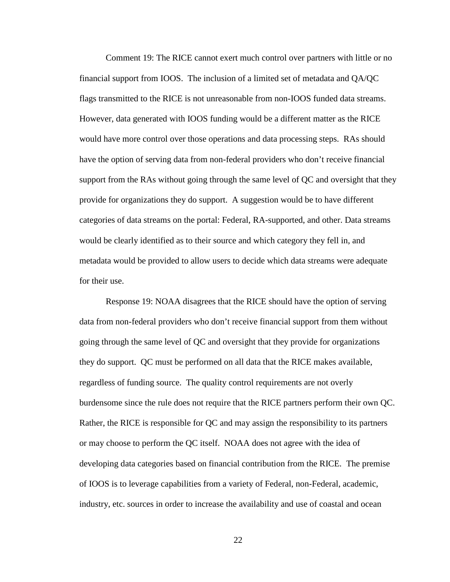Comment 19: The RICE cannot exert much control over partners with little or no financial support from IOOS. The inclusion of a limited set of metadata and QA/QC flags transmitted to the RICE is not unreasonable from non-IOOS funded data streams. However, data generated with IOOS funding would be a different matter as the RICE would have more control over those operations and data processing steps. RAs should have the option of serving data from non-federal providers who don't receive financial support from the RAs without going through the same level of QC and oversight that they provide for organizations they do support. A suggestion would be to have different categories of data streams on the portal: Federal, RA-supported, and other. Data streams would be clearly identified as to their source and which category they fell in, and metadata would be provided to allow users to decide which data streams were adequate for their use.

Response 19: NOAA disagrees that the RICE should have the option of serving data from non-federal providers who don't receive financial support from them without going through the same level of QC and oversight that they provide for organizations they do support. QC must be performed on all data that the RICE makes available, regardless of funding source. The quality control requirements are not overly burdensome since the rule does not require that the RICE partners perform their own QC. Rather, the RICE is responsible for QC and may assign the responsibility to its partners or may choose to perform the QC itself. NOAA does not agree with the idea of developing data categories based on financial contribution from the RICE. The premise of IOOS is to leverage capabilities from a variety of Federal, non-Federal, academic, industry, etc. sources in order to increase the availability and use of coastal and ocean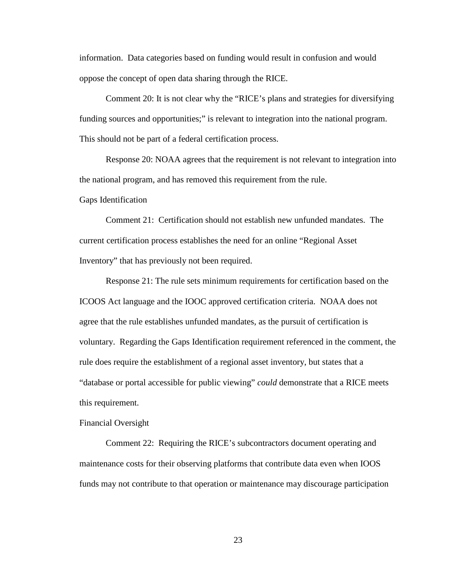information. Data categories based on funding would result in confusion and would oppose the concept of open data sharing through the RICE.

Comment 20: It is not clear why the "RICE's plans and strategies for diversifying funding sources and opportunities;" is relevant to integration into the national program. This should not be part of a federal certification process.

Response 20: NOAA agrees that the requirement is not relevant to integration into the national program, and has removed this requirement from the rule.

Gaps Identification

Comment 21: Certification should not establish new unfunded mandates. The current certification process establishes the need for an online "Regional Asset Inventory" that has previously not been required.

Response 21: The rule sets minimum requirements for certification based on the ICOOS Act language and the IOOC approved certification criteria. NOAA does not agree that the rule establishes unfunded mandates, as the pursuit of certification is voluntary. Regarding the Gaps Identification requirement referenced in the comment, the rule does require the establishment of a regional asset inventory, but states that a "database or portal accessible for public viewing" *could* demonstrate that a RICE meets this requirement.

### Financial Oversight

Comment 22: Requiring the RICE's subcontractors document operating and maintenance costs for their observing platforms that contribute data even when IOOS funds may not contribute to that operation or maintenance may discourage participation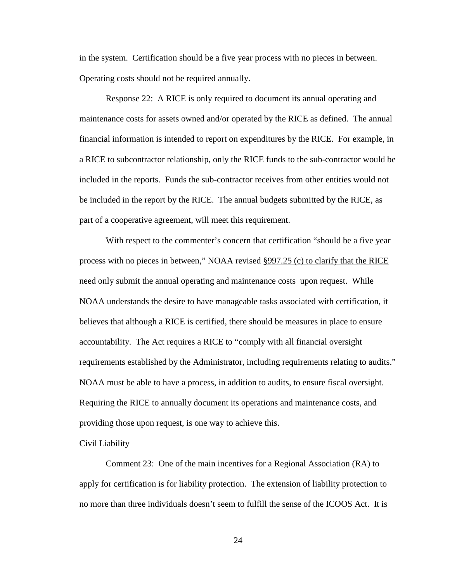in the system. Certification should be a five year process with no pieces in between. Operating costs should not be required annually.

Response 22: A RICE is only required to document its annual operating and maintenance costs for assets owned and/or operated by the RICE as defined. The annual financial information is intended to report on expenditures by the RICE. For example, in a RICE to subcontractor relationship, only the RICE funds to the sub-contractor would be included in the reports. Funds the sub-contractor receives from other entities would not be included in the report by the RICE. The annual budgets submitted by the RICE, as part of a cooperative agreement, will meet this requirement.

With respect to the commenter's concern that certification "should be a five year process with no pieces in between," NOAA revised §997.25 (c) to clarify that the RICE need only submit the annual operating and maintenance costs upon request. While NOAA understands the desire to have manageable tasks associated with certification, it believes that although a RICE is certified, there should be measures in place to ensure accountability. The Act requires a RICE to "comply with all financial oversight requirements established by the Administrator, including requirements relating to audits." NOAA must be able to have a process, in addition to audits, to ensure fiscal oversight. Requiring the RICE to annually document its operations and maintenance costs, and providing those upon request, is one way to achieve this.

## Civil Liability

Comment 23: One of the main incentives for a Regional Association (RA) to apply for certification is for liability protection. The extension of liability protection to no more than three individuals doesn't seem to fulfill the sense of the ICOOS Act. It is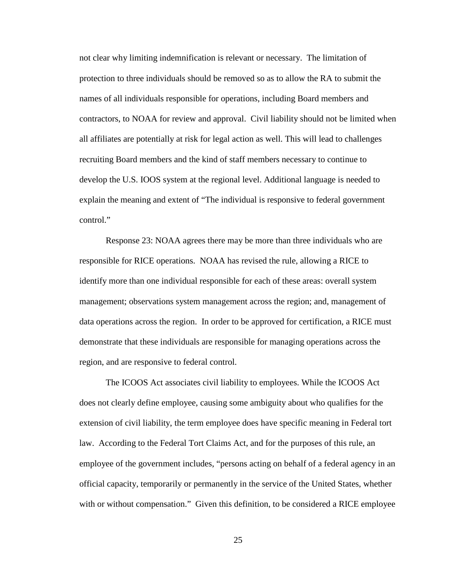not clear why limiting indemnification is relevant or necessary. The limitation of protection to three individuals should be removed so as to allow the RA to submit the names of all individuals responsible for operations, including Board members and contractors, to NOAA for review and approval. Civil liability should not be limited when all affiliates are potentially at risk for legal action as well. This will lead to challenges recruiting Board members and the kind of staff members necessary to continue to develop the U.S. IOOS system at the regional level. Additional language is needed to explain the meaning and extent of "The individual is responsive to federal government control."

Response 23: NOAA agrees there may be more than three individuals who are responsible for RICE operations. NOAA has revised the rule, allowing a RICE to identify more than one individual responsible for each of these areas: overall system management; observations system management across the region; and, management of data operations across the region. In order to be approved for certification, a RICE must demonstrate that these individuals are responsible for managing operations across the region, and are responsive to federal control.

The ICOOS Act associates civil liability to employees. While the ICOOS Act does not clearly define employee, causing some ambiguity about who qualifies for the extension of civil liability, the term employee does have specific meaning in Federal tort law. According to the Federal Tort Claims Act, and for the purposes of this rule, an employee of the government includes, "persons acting on behalf of a federal agency in an official capacity, temporarily or permanently in the service of the United States, whether with or without compensation." Given this definition, to be considered a RICE employee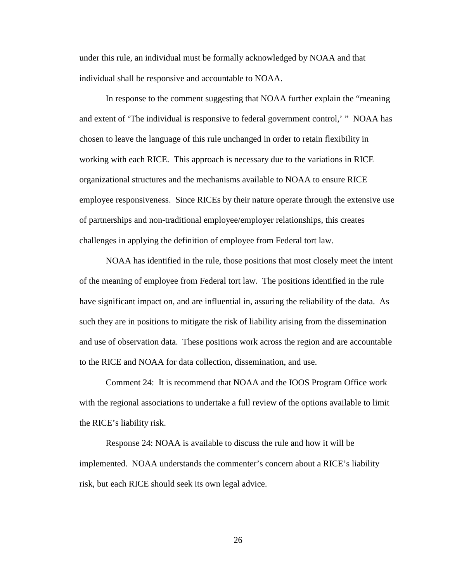under this rule, an individual must be formally acknowledged by NOAA and that individual shall be responsive and accountable to NOAA.

In response to the comment suggesting that NOAA further explain the "meaning and extent of 'The individual is responsive to federal government control,' " NOAA has chosen to leave the language of this rule unchanged in order to retain flexibility in working with each RICE. This approach is necessary due to the variations in RICE organizational structures and the mechanisms available to NOAA to ensure RICE employee responsiveness. Since RICEs by their nature operate through the extensive use of partnerships and non-traditional employee/employer relationships, this creates challenges in applying the definition of employee from Federal tort law.

NOAA has identified in the rule, those positions that most closely meet the intent of the meaning of employee from Federal tort law. The positions identified in the rule have significant impact on, and are influential in, assuring the reliability of the data. As such they are in positions to mitigate the risk of liability arising from the dissemination and use of observation data. These positions work across the region and are accountable to the RICE and NOAA for data collection, dissemination, and use.

Comment 24: It is recommend that NOAA and the IOOS Program Office work with the regional associations to undertake a full review of the options available to limit the RICE's liability risk.

Response 24: NOAA is available to discuss the rule and how it will be implemented. NOAA understands the commenter's concern about a RICE's liability risk, but each RICE should seek its own legal advice.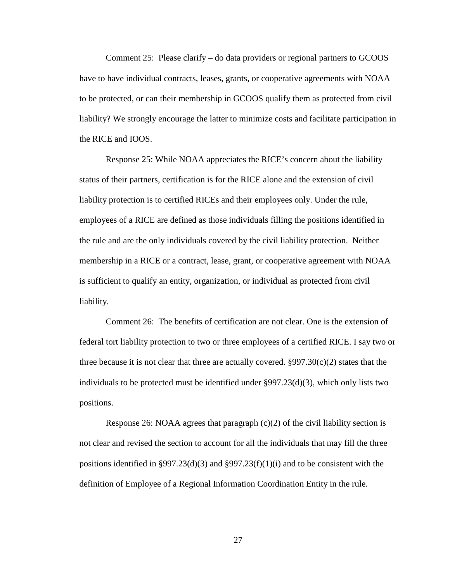Comment 25: Please clarify – do data providers or regional partners to GCOOS have to have individual contracts, leases, grants, or cooperative agreements with NOAA to be protected, or can their membership in GCOOS qualify them as protected from civil liability? We strongly encourage the latter to minimize costs and facilitate participation in the RICE and IOOS.

Response 25: While NOAA appreciates the RICE's concern about the liability status of their partners, certification is for the RICE alone and the extension of civil liability protection is to certified RICEs and their employees only. Under the rule, employees of a RICE are defined as those individuals filling the positions identified in the rule and are the only individuals covered by the civil liability protection. Neither membership in a RICE or a contract, lease, grant, or cooperative agreement with NOAA is sufficient to qualify an entity, organization, or individual as protected from civil liability.

Comment 26: The benefits of certification are not clear. One is the extension of federal tort liability protection to two or three employees of a certified RICE. I say two or three because it is not clear that three are actually covered.  $\S 997.30(c)(2)$  states that the individuals to be protected must be identified under  $\S 997.23(d)(3)$ , which only lists two positions.

Response 26: NOAA agrees that paragraph  $(c)(2)$  of the civil liability section is not clear and revised the section to account for all the individuals that may fill the three positions identified in §997.23(d)(3) and §997.23(f)(1)(i) and to be consistent with the definition of Employee of a Regional Information Coordination Entity in the rule.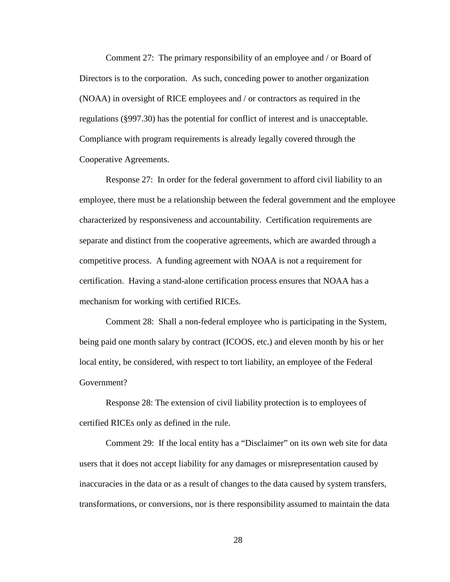Comment 27: The primary responsibility of an employee and / or Board of Directors is to the corporation. As such, conceding power to another organization (NOAA) in oversight of RICE employees and / or contractors as required in the regulations (§997.30) has the potential for conflict of interest and is unacceptable. Compliance with program requirements is already legally covered through the Cooperative Agreements.

Response 27: In order for the federal government to afford civil liability to an employee, there must be a relationship between the federal government and the employee characterized by responsiveness and accountability. Certification requirements are separate and distinct from the cooperative agreements, which are awarded through a competitive process. A funding agreement with NOAA is not a requirement for certification. Having a stand-alone certification process ensures that NOAA has a mechanism for working with certified RICEs.

Comment 28: Shall a non-federal employee who is participating in the System, being paid one month salary by contract (ICOOS, etc.) and eleven month by his or her local entity, be considered, with respect to tort liability, an employee of the Federal Government?

Response 28: The extension of civil liability protection is to employees of certified RICEs only as defined in the rule.

Comment 29: If the local entity has a "Disclaimer" on its own web site for data users that it does not accept liability for any damages or misrepresentation caused by inaccuracies in the data or as a result of changes to the data caused by system transfers, transformations, or conversions, nor is there responsibility assumed to maintain the data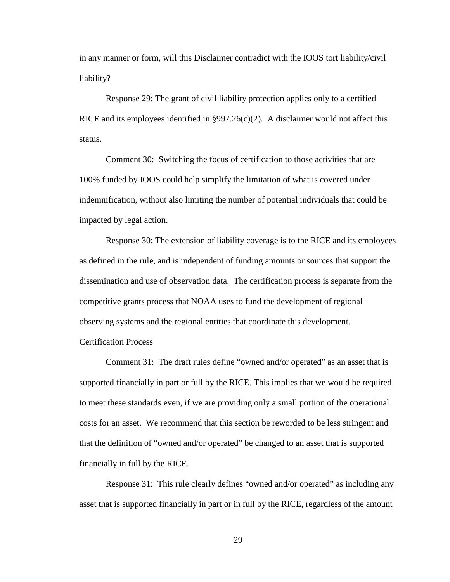in any manner or form, will this Disclaimer contradict with the IOOS tort liability/civil liability?

Response 29: The grant of civil liability protection applies only to a certified RICE and its employees identified in §997.26(c)(2). A disclaimer would not affect this status.

Comment 30: Switching the focus of certification to those activities that are 100% funded by IOOS could help simplify the limitation of what is covered under indemnification, without also limiting the number of potential individuals that could be impacted by legal action.

Response 30: The extension of liability coverage is to the RICE and its employees as defined in the rule, and is independent of funding amounts or sources that support the dissemination and use of observation data. The certification process is separate from the competitive grants process that NOAA uses to fund the development of regional observing systems and the regional entities that coordinate this development. Certification Process

Comment 31: The draft rules define "owned and/or operated" as an asset that is supported financially in part or full by the RICE. This implies that we would be required to meet these standards even, if we are providing only a small portion of the operational costs for an asset. We recommend that this section be reworded to be less stringent and that the definition of "owned and/or operated" be changed to an asset that is supported financially in full by the RICE.

Response 31: This rule clearly defines "owned and/or operated" as including any asset that is supported financially in part or in full by the RICE, regardless of the amount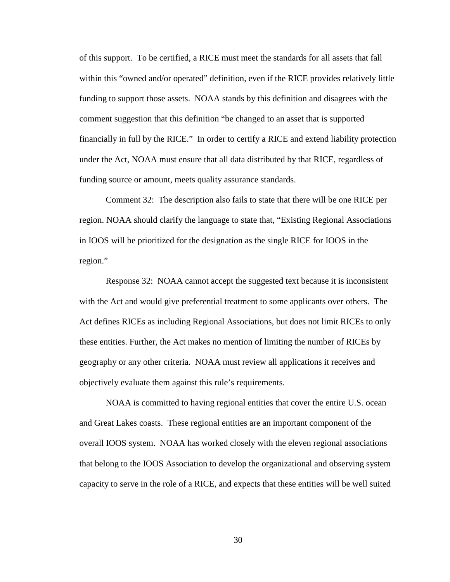of this support. To be certified, a RICE must meet the standards for all assets that fall within this "owned and/or operated" definition, even if the RICE provides relatively little funding to support those assets. NOAA stands by this definition and disagrees with the comment suggestion that this definition "be changed to an asset that is supported financially in full by the RICE." In order to certify a RICE and extend liability protection under the Act, NOAA must ensure that all data distributed by that RICE, regardless of funding source or amount, meets quality assurance standards.

Comment 32: The description also fails to state that there will be one RICE per region. NOAA should clarify the language to state that, "Existing Regional Associations in IOOS will be prioritized for the designation as the single RICE for IOOS in the region."

Response 32: NOAA cannot accept the suggested text because it is inconsistent with the Act and would give preferential treatment to some applicants over others. The Act defines RICEs as including Regional Associations, but does not limit RICEs to only these entities. Further, the Act makes no mention of limiting the number of RICEs by geography or any other criteria. NOAA must review all applications it receives and objectively evaluate them against this rule's requirements.

NOAA is committed to having regional entities that cover the entire U.S. ocean and Great Lakes coasts. These regional entities are an important component of the overall IOOS system. NOAA has worked closely with the eleven regional associations that belong to the IOOS Association to develop the organizational and observing system capacity to serve in the role of a RICE, and expects that these entities will be well suited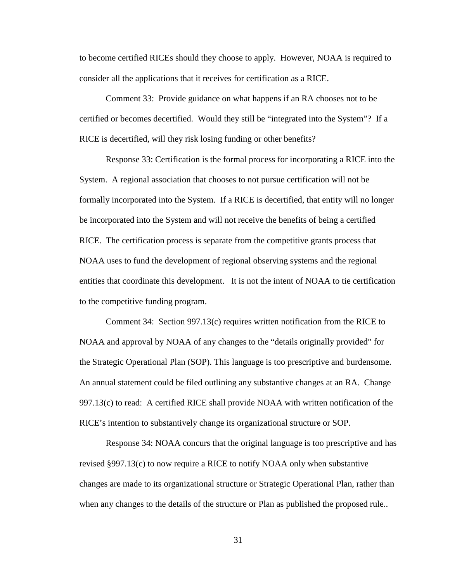to become certified RICEs should they choose to apply. However, NOAA is required to consider all the applications that it receives for certification as a RICE.

Comment 33: Provide guidance on what happens if an RA chooses not to be certified or becomes decertified. Would they still be "integrated into the System"? If a RICE is decertified, will they risk losing funding or other benefits?

Response 33: Certification is the formal process for incorporating a RICE into the System. A regional association that chooses to not pursue certification will not be formally incorporated into the System. If a RICE is decertified, that entity will no longer be incorporated into the System and will not receive the benefits of being a certified RICE. The certification process is separate from the competitive grants process that NOAA uses to fund the development of regional observing systems and the regional entities that coordinate this development. It is not the intent of NOAA to tie certification to the competitive funding program.

Comment 34: Section 997.13(c) requires written notification from the RICE to NOAA and approval by NOAA of any changes to the "details originally provided" for the Strategic Operational Plan (SOP). This language is too prescriptive and burdensome. An annual statement could be filed outlining any substantive changes at an RA. Change 997.13(c) to read: A certified RICE shall provide NOAA with written notification of the RICE's intention to substantively change its organizational structure or SOP.

Response 34: NOAA concurs that the original language is too prescriptive and has revised §997.13(c) to now require a RICE to notify NOAA only when substantive changes are made to its organizational structure or Strategic Operational Plan, rather than when any changes to the details of the structure or Plan as published the proposed rule..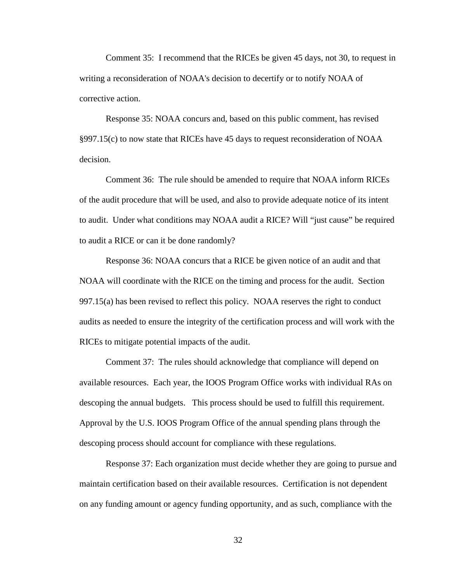Comment 35: I recommend that the RICEs be given 45 days, not 30, to request in writing a reconsideration of NOAA's decision to decertify or to notify NOAA of corrective action.

Response 35: NOAA concurs and, based on this public comment, has revised §997.15(c) to now state that RICEs have 45 days to request reconsideration of NOAA decision.

Comment 36: The rule should be amended to require that NOAA inform RICEs of the audit procedure that will be used, and also to provide adequate notice of its intent to audit. Under what conditions may NOAA audit a RICE? Will "just cause" be required to audit a RICE or can it be done randomly?

Response 36: NOAA concurs that a RICE be given notice of an audit and that NOAA will coordinate with the RICE on the timing and process for the audit. Section 997.15(a) has been revised to reflect this policy. NOAA reserves the right to conduct audits as needed to ensure the integrity of the certification process and will work with the RICEs to mitigate potential impacts of the audit.

Comment 37: The rules should acknowledge that compliance will depend on available resources. Each year, the IOOS Program Office works with individual RAs on descoping the annual budgets. This process should be used to fulfill this requirement. Approval by the U.S. IOOS Program Office of the annual spending plans through the descoping process should account for compliance with these regulations.

Response 37: Each organization must decide whether they are going to pursue and maintain certification based on their available resources. Certification is not dependent on any funding amount or agency funding opportunity, and as such, compliance with the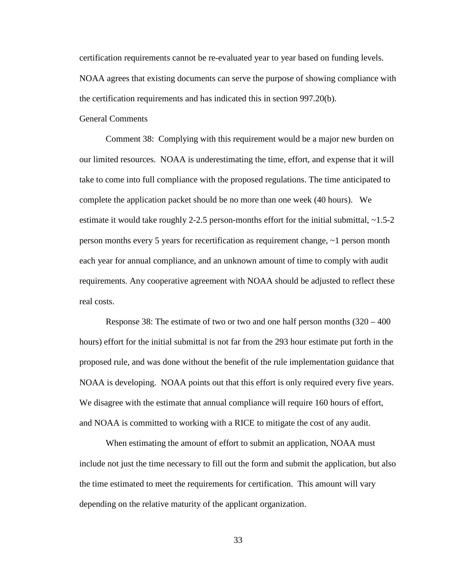certification requirements cannot be re-evaluated year to year based on funding levels. NOAA agrees that existing documents can serve the purpose of showing compliance with the certification requirements and has indicated this in section 997.20(b).

General Comments

Comment 38: Complying with this requirement would be a major new burden on our limited resources. NOAA is underestimating the time, effort, and expense that it will take to come into full compliance with the proposed regulations. The time anticipated to complete the application packet should be no more than one week (40 hours). We estimate it would take roughly 2-2.5 person-months effort for the initial submittal, ~1.5-2 person months every 5 years for recertification as requirement change, ~1 person month each year for annual compliance, and an unknown amount of time to comply with audit requirements. Any cooperative agreement with NOAA should be adjusted to reflect these real costs.

Response 38: The estimate of two or two and one half person months  $(320 - 400)$ hours) effort for the initial submittal is not far from the 293 hour estimate put forth in the proposed rule, and was done without the benefit of the rule implementation guidance that NOAA is developing. NOAA points out that this effort is only required every five years. We disagree with the estimate that annual compliance will require 160 hours of effort, and NOAA is committed to working with a RICE to mitigate the cost of any audit.

When estimating the amount of effort to submit an application, NOAA must include not just the time necessary to fill out the form and submit the application, but also the time estimated to meet the requirements for certification. This amount will vary depending on the relative maturity of the applicant organization.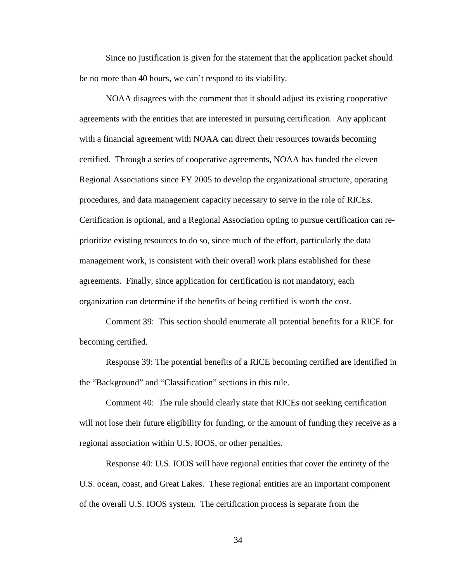Since no justification is given for the statement that the application packet should be no more than 40 hours, we can't respond to its viability.

NOAA disagrees with the comment that it should adjust its existing cooperative agreements with the entities that are interested in pursuing certification. Any applicant with a financial agreement with NOAA can direct their resources towards becoming certified. Through a series of cooperative agreements, NOAA has funded the eleven Regional Associations since FY 2005 to develop the organizational structure, operating procedures, and data management capacity necessary to serve in the role of RICEs. Certification is optional, and a Regional Association opting to pursue certification can reprioritize existing resources to do so, since much of the effort, particularly the data management work, is consistent with their overall work plans established for these agreements. Finally, since application for certification is not mandatory, each organization can determine if the benefits of being certified is worth the cost.

Comment 39: This section should enumerate all potential benefits for a RICE for becoming certified.

Response 39: The potential benefits of a RICE becoming certified are identified in the "Background" and "Classification" sections in this rule.

Comment 40: The rule should clearly state that RICEs not seeking certification will not lose their future eligibility for funding, or the amount of funding they receive as a regional association within U.S. IOOS, or other penalties.

Response 40: U.S. IOOS will have regional entities that cover the entirety of the U.S. ocean, coast, and Great Lakes. These regional entities are an important component of the overall U.S. IOOS system. The certification process is separate from the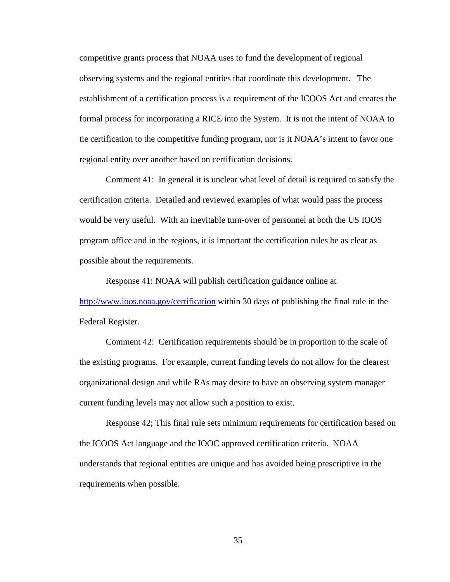competitive grants process that NOAA uses to fund the development of regional observing systems and the regional entities that coordinate this development. The establishment of a certification process is a requirement of the ICOOS Act and creates the formal process for incorporating a RICE into the System. It is not the intent of NOAA to tie certification to the competitive funding program, nor is it NOAA's intent to favor one regional entity over another based on certification decisions.

Comment 41: In general it is unclear what level of detail is required to satisfy the certification criteria. Detailed and reviewed examples of what would pass the process would be very useful. With an inevitable turn-over of personnel at both the US IOOS program office and in the regions, it is important the certification rules be as clear as possible about the requirements.

Response 41: NOAA will publish certification guidance online at <http://www.ioos.noaa.gov/certification> within 30 days of publishing the final rule in the Federal Register.

Comment 42: Certification requirements should be in proportion to the scale of the existing programs. For example, current funding levels do not allow for the clearest organizational design and while RAs may desire to have an observing system manager current funding levels may not allow such a position to exist.

Response 42; This final rule sets minimum requirements for certification based on the ICOOS Act language and the IOOC approved certification criteria. NOAA understands that regional entities are unique and has avoided being prescriptive in the requirements when possible.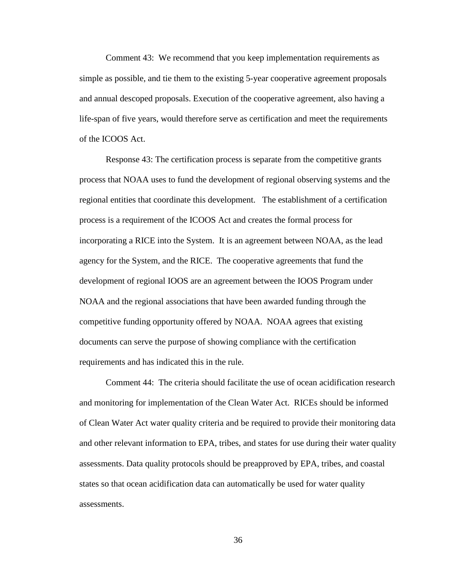Comment 43: We recommend that you keep implementation requirements as simple as possible, and tie them to the existing 5-year cooperative agreement proposals and annual descoped proposals. Execution of the cooperative agreement, also having a life-span of five years, would therefore serve as certification and meet the requirements of the ICOOS Act.

Response 43: The certification process is separate from the competitive grants process that NOAA uses to fund the development of regional observing systems and the regional entities that coordinate this development. The establishment of a certification process is a requirement of the ICOOS Act and creates the formal process for incorporating a RICE into the System. It is an agreement between NOAA, as the lead agency for the System, and the RICE. The cooperative agreements that fund the development of regional IOOS are an agreement between the IOOS Program under NOAA and the regional associations that have been awarded funding through the competitive funding opportunity offered by NOAA. NOAA agrees that existing documents can serve the purpose of showing compliance with the certification requirements and has indicated this in the rule.

Comment 44: The criteria should facilitate the use of ocean acidification research and monitoring for implementation of the Clean Water Act. RICEs should be informed of Clean Water Act water quality criteria and be required to provide their monitoring data and other relevant information to EPA, tribes, and states for use during their water quality assessments. Data quality protocols should be preapproved by EPA, tribes, and coastal states so that ocean acidification data can automatically be used for water quality assessments.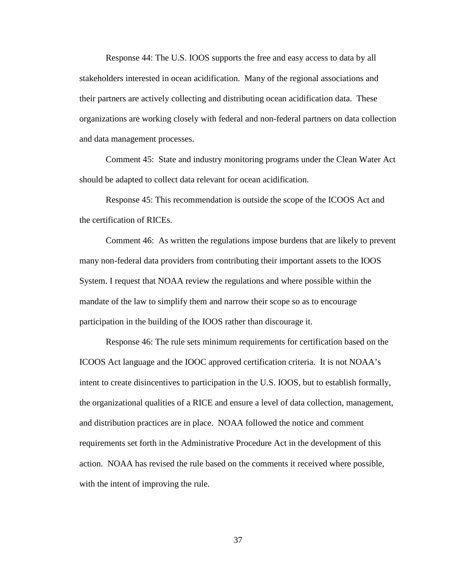Response 44: The U.S. IOOS supports the free and easy access to data by all stakeholders interested in ocean acidification. Many of the regional associations and their partners are actively collecting and distributing ocean acidification data. These organizations are working closely with federal and non-federal partners on data collection and data management processes.

Comment 45: State and industry monitoring programs under the Clean Water Act should be adapted to collect data relevant for ocean acidification.

Response 45: This recommendation is outside the scope of the ICOOS Act and the certification of RICEs.

Comment 46: As written the regulations impose burdens that are likely to prevent many non-federal data providers from contributing their important assets to the IOOS System. I request that NOAA review the regulations and where possible within the mandate of the law to simplify them and narrow their scope so as to encourage participation in the building of the IOOS rather than discourage it.

Response 46: The rule sets minimum requirements for certification based on the ICOOS Act language and the IOOC approved certification criteria. It is not NOAA's intent to create disincentives to participation in the U.S. IOOS, but to establish formally, the organizational qualities of a RICE and ensure a level of data collection, management, and distribution practices are in place. NOAA followed the notice and comment requirements set forth in the Administrative Procedure Act in the development of this action. NOAA has revised the rule based on the comments it received where possible, with the intent of improving the rule.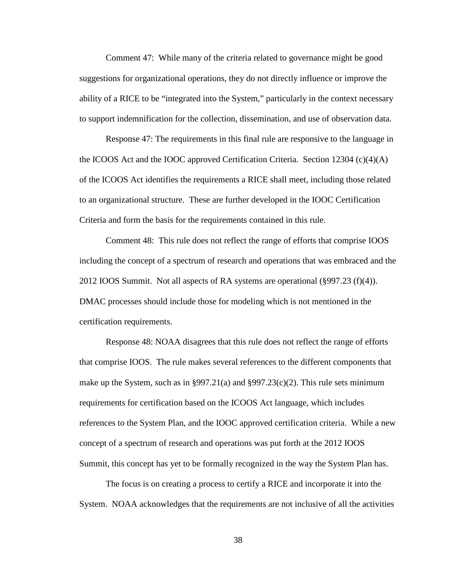Comment 47: While many of the criteria related to governance might be good suggestions for organizational operations, they do not directly influence or improve the ability of a RICE to be "integrated into the System," particularly in the context necessary to support indemnification for the collection, dissemination, and use of observation data.

Response 47: The requirements in this final rule are responsive to the language in the ICOOS Act and the IOOC approved Certification Criteria. Section  $12304 \, (c)(4)(A)$ of the ICOOS Act identifies the requirements a RICE shall meet, including those related to an organizational structure. These are further developed in the IOOC Certification Criteria and form the basis for the requirements contained in this rule.

Comment 48: This rule does not reflect the range of efforts that comprise IOOS including the concept of a spectrum of research and operations that was embraced and the 2012 IOOS Summit. Not all aspects of RA systems are operational  $(\frac{8997.23}{\text{ (f)}(4)})$ . DMAC processes should include those for modeling which is not mentioned in the certification requirements.

Response 48: NOAA disagrees that this rule does not reflect the range of efforts that comprise IOOS. The rule makes several references to the different components that make up the System, such as in §997.21(a) and §997.23(c)(2). This rule sets minimum requirements for certification based on the ICOOS Act language, which includes references to the System Plan, and the IOOC approved certification criteria. While a new concept of a spectrum of research and operations was put forth at the 2012 IOOS Summit, this concept has yet to be formally recognized in the way the System Plan has.

The focus is on creating a process to certify a RICE and incorporate it into the System. NOAA acknowledges that the requirements are not inclusive of all the activities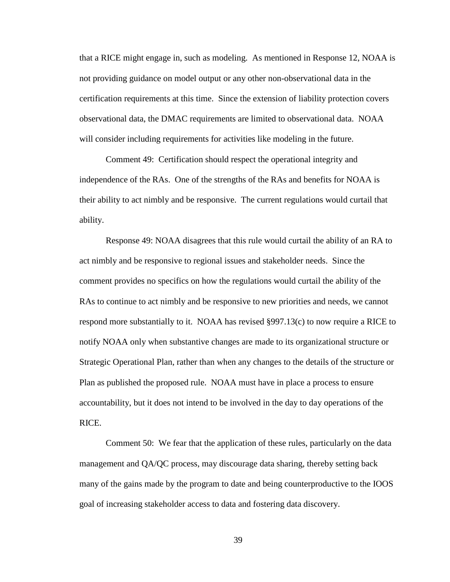that a RICE might engage in, such as modeling. As mentioned in Response 12, NOAA is not providing guidance on model output or any other non-observational data in the certification requirements at this time. Since the extension of liability protection covers observational data, the DMAC requirements are limited to observational data. NOAA will consider including requirements for activities like modeling in the future.

Comment 49: Certification should respect the operational integrity and independence of the RAs. One of the strengths of the RAs and benefits for NOAA is their ability to act nimbly and be responsive. The current regulations would curtail that ability.

Response 49: NOAA disagrees that this rule would curtail the ability of an RA to act nimbly and be responsive to regional issues and stakeholder needs. Since the comment provides no specifics on how the regulations would curtail the ability of the RAs to continue to act nimbly and be responsive to new priorities and needs, we cannot respond more substantially to it. NOAA has revised §997.13(c) to now require a RICE to notify NOAA only when substantive changes are made to its organizational structure or Strategic Operational Plan, rather than when any changes to the details of the structure or Plan as published the proposed rule. NOAA must have in place a process to ensure accountability, but it does not intend to be involved in the day to day operations of the RICE.

Comment 50: We fear that the application of these rules, particularly on the data management and QA/QC process, may discourage data sharing, thereby setting back many of the gains made by the program to date and being counterproductive to the IOOS goal of increasing stakeholder access to data and fostering data discovery.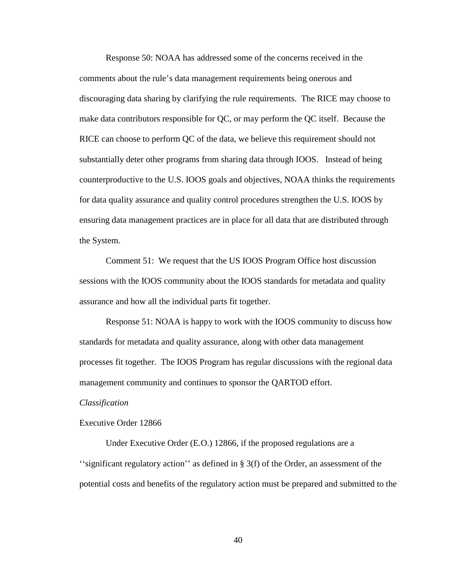Response 50: NOAA has addressed some of the concerns received in the comments about the rule's data management requirements being onerous and discouraging data sharing by clarifying the rule requirements. The RICE may choose to make data contributors responsible for QC, or may perform the QC itself. Because the RICE can choose to perform QC of the data, we believe this requirement should not substantially deter other programs from sharing data through IOOS. Instead of being counterproductive to the U.S. IOOS goals and objectives, NOAA thinks the requirements for data quality assurance and quality control procedures strengthen the U.S. IOOS by ensuring data management practices are in place for all data that are distributed through the System.

Comment 51: We request that the US IOOS Program Office host discussion sessions with the IOOS community about the IOOS standards for metadata and quality assurance and how all the individual parts fit together.

Response 51: NOAA is happy to work with the IOOS community to discuss how standards for metadata and quality assurance, along with other data management processes fit together. The IOOS Program has regular discussions with the regional data management community and continues to sponsor the QARTOD effort.

#### *Classification*

### Executive Order 12866

Under Executive Order (E.O.) 12866, if the proposed regulations are a "significant regulatory action" as defined in  $\S 3(f)$  of the Order, an assessment of the potential costs and benefits of the regulatory action must be prepared and submitted to the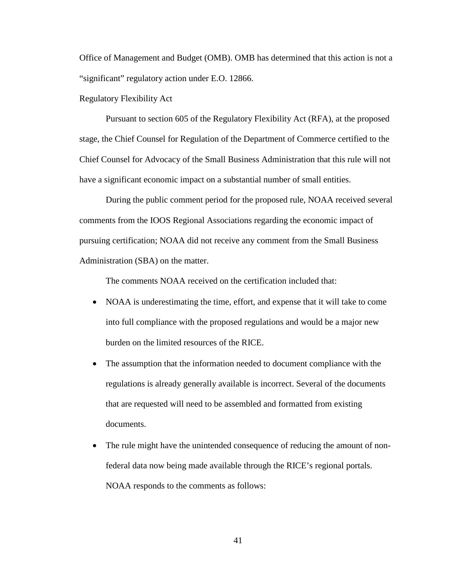Office of Management and Budget (OMB). OMB has determined that this action is not a "significant" regulatory action under E.O. 12866.

Regulatory Flexibility Act

Pursuant to section 605 of the Regulatory Flexibility Act (RFA), at the proposed stage, the Chief Counsel for Regulation of the Department of Commerce certified to the Chief Counsel for Advocacy of the Small Business Administration that this rule will not have a significant economic impact on a substantial number of small entities.

During the public comment period for the proposed rule, NOAA received several comments from the IOOS Regional Associations regarding the economic impact of pursuing certification; NOAA did not receive any comment from the Small Business Administration (SBA) on the matter.

The comments NOAA received on the certification included that:

- NOAA is underestimating the time, effort, and expense that it will take to come into full compliance with the proposed regulations and would be a major new burden on the limited resources of the RICE.
- The assumption that the information needed to document compliance with the regulations is already generally available is incorrect. Several of the documents that are requested will need to be assembled and formatted from existing documents.
- The rule might have the unintended consequence of reducing the amount of nonfederal data now being made available through the RICE's regional portals. NOAA responds to the comments as follows: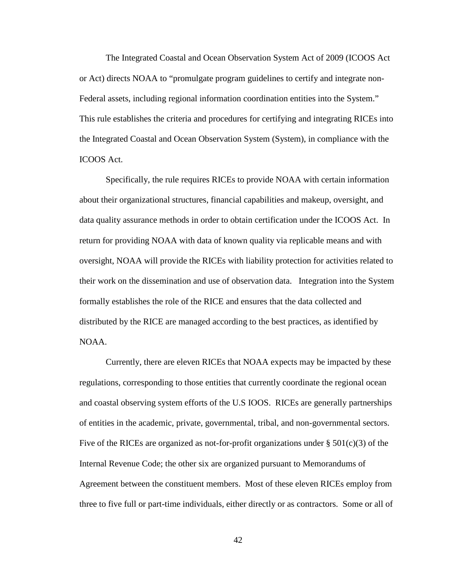The Integrated Coastal and Ocean Observation System Act of 2009 (ICOOS Act or Act) directs NOAA to "promulgate program guidelines to certify and integrate non-Federal assets, including regional information coordination entities into the System." This rule establishes the criteria and procedures for certifying and integrating RICEs into the Integrated Coastal and Ocean Observation System (System), in compliance with the ICOOS Act.

Specifically, the rule requires RICEs to provide NOAA with certain information about their organizational structures, financial capabilities and makeup, oversight, and data quality assurance methods in order to obtain certification under the ICOOS Act. In return for providing NOAA with data of known quality via replicable means and with oversight, NOAA will provide the RICEs with liability protection for activities related to their work on the dissemination and use of observation data. Integration into the System formally establishes the role of the RICE and ensures that the data collected and distributed by the RICE are managed according to the best practices, as identified by NOAA.

Currently, there are eleven RICEs that NOAA expects may be impacted by these regulations, corresponding to those entities that currently coordinate the regional ocean and coastal observing system efforts of the U.S IOOS. RICEs are generally partnerships of entities in the academic, private, governmental, tribal, and non-governmental sectors. Five of the RICEs are organized as not-for-profit organizations under  $\S 501(c)(3)$  of the Internal Revenue Code; the other six are organized pursuant to Memorandums of Agreement between the constituent members. Most of these eleven RICEs employ from three to five full or part-time individuals, either directly or as contractors. Some or all of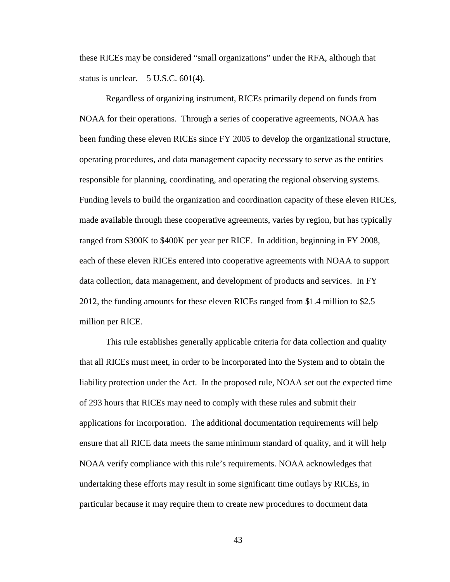these RICEs may be considered "small organizations" under the RFA, although that status is unclear. 5 U.S.C. 601(4).

Regardless of organizing instrument, RICEs primarily depend on funds from NOAA for their operations. Through a series of cooperative agreements, NOAA has been funding these eleven RICEs since FY 2005 to develop the organizational structure, operating procedures, and data management capacity necessary to serve as the entities responsible for planning, coordinating, and operating the regional observing systems. Funding levels to build the organization and coordination capacity of these eleven RICEs, made available through these cooperative agreements, varies by region, but has typically ranged from \$300K to \$400K per year per RICE. In addition, beginning in FY 2008, each of these eleven RICEs entered into cooperative agreements with NOAA to support data collection, data management, and development of products and services. In FY 2012, the funding amounts for these eleven RICEs ranged from \$1.4 million to \$2.5 million per RICE.

This rule establishes generally applicable criteria for data collection and quality that all RICEs must meet, in order to be incorporated into the System and to obtain the liability protection under the Act. In the proposed rule, NOAA set out the expected time of 293 hours that RICEs may need to comply with these rules and submit their applications for incorporation. The additional documentation requirements will help ensure that all RICE data meets the same minimum standard of quality, and it will help NOAA verify compliance with this rule's requirements. NOAA acknowledges that undertaking these efforts may result in some significant time outlays by RICEs, in particular because it may require them to create new procedures to document data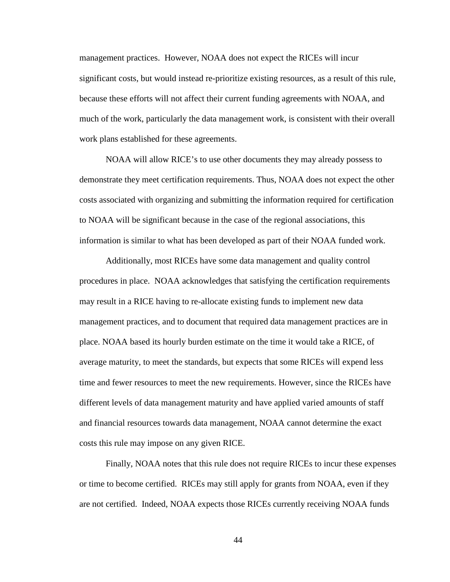management practices. However, NOAA does not expect the RICEs will incur significant costs, but would instead re-prioritize existing resources, as a result of this rule, because these efforts will not affect their current funding agreements with NOAA, and much of the work, particularly the data management work, is consistent with their overall work plans established for these agreements.

NOAA will allow RICE's to use other documents they may already possess to demonstrate they meet certification requirements. Thus, NOAA does not expect the other costs associated with organizing and submitting the information required for certification to NOAA will be significant because in the case of the regional associations, this information is similar to what has been developed as part of their NOAA funded work.

Additionally, most RICEs have some data management and quality control procedures in place. NOAA acknowledges that satisfying the certification requirements may result in a RICE having to re-allocate existing funds to implement new data management practices, and to document that required data management practices are in place. NOAA based its hourly burden estimate on the time it would take a RICE, of average maturity, to meet the standards, but expects that some RICEs will expend less time and fewer resources to meet the new requirements. However, since the RICEs have different levels of data management maturity and have applied varied amounts of staff and financial resources towards data management, NOAA cannot determine the exact costs this rule may impose on any given RICE.

Finally, NOAA notes that this rule does not require RICEs to incur these expenses or time to become certified. RICEs may still apply for grants from NOAA, even if they are not certified. Indeed, NOAA expects those RICEs currently receiving NOAA funds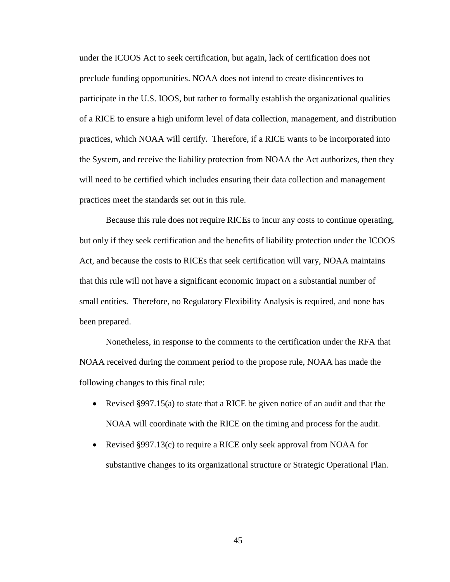under the ICOOS Act to seek certification, but again, lack of certification does not preclude funding opportunities. NOAA does not intend to create disincentives to participate in the U.S. IOOS, but rather to formally establish the organizational qualities of a RICE to ensure a high uniform level of data collection, management, and distribution practices, which NOAA will certify. Therefore, if a RICE wants to be incorporated into the System, and receive the liability protection from NOAA the Act authorizes, then they will need to be certified which includes ensuring their data collection and management practices meet the standards set out in this rule.

Because this rule does not require RICEs to incur any costs to continue operating, but only if they seek certification and the benefits of liability protection under the ICOOS Act, and because the costs to RICEs that seek certification will vary, NOAA maintains that this rule will not have a significant economic impact on a substantial number of small entities. Therefore, no Regulatory Flexibility Analysis is required, and none has been prepared.

Nonetheless, in response to the comments to the certification under the RFA that NOAA received during the comment period to the propose rule, NOAA has made the following changes to this final rule:

- Revised §997.15(a) to state that a RICE be given notice of an audit and that the NOAA will coordinate with the RICE on the timing and process for the audit.
- Revised §997.13(c) to require a RICE only seek approval from NOAA for substantive changes to its organizational structure or Strategic Operational Plan.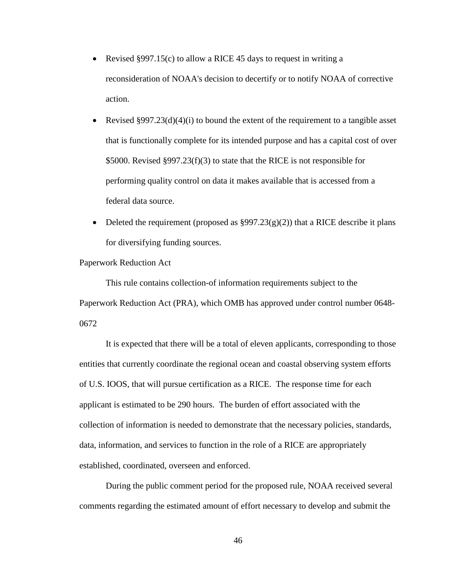- Revised §997.15(c) to allow a RICE 45 days to request in writing a reconsideration of NOAA's decision to decertify or to notify NOAA of corrective action.
- Revised §997.23(d)(4)(i) to bound the extent of the requirement to a tangible asset that is functionally complete for its intended purpose and has a capital cost of over \$5000. Revised §997.23(f)(3) to state that the RICE is not responsible for performing quality control on data it makes available that is accessed from a federal data source.
- Deleted the requirement (proposed as  $\S 997.23(g)(2)$ ) that a RICE describe it plans for diversifying funding sources.

## Paperwork Reduction Act

This rule contains collection-of information requirements subject to the Paperwork Reduction Act (PRA), which OMB has approved under control number 0648- 0672

It is expected that there will be a total of eleven applicants, corresponding to those entities that currently coordinate the regional ocean and coastal observing system efforts of U.S. IOOS, that will pursue certification as a RICE. The response time for each applicant is estimated to be 290 hours. The burden of effort associated with the collection of information is needed to demonstrate that the necessary policies, standards, data, information, and services to function in the role of a RICE are appropriately established, coordinated, overseen and enforced.

During the public comment period for the proposed rule, NOAA received several comments regarding the estimated amount of effort necessary to develop and submit the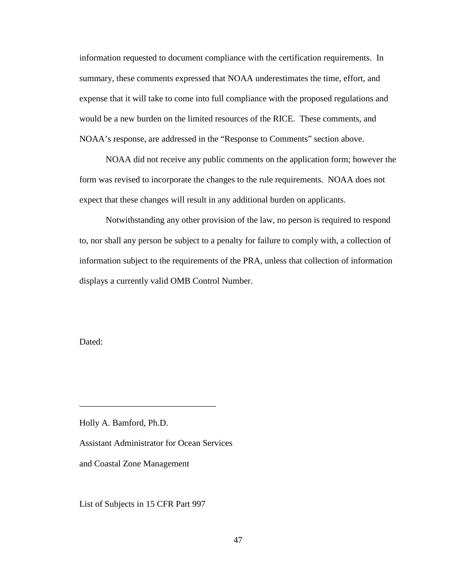information requested to document compliance with the certification requirements. In summary, these comments expressed that NOAA underestimates the time, effort, and expense that it will take to come into full compliance with the proposed regulations and would be a new burden on the limited resources of the RICE. These comments, and NOAA's response, are addressed in the "Response to Comments" section above.

NOAA did not receive any public comments on the application form; however the form was revised to incorporate the changes to the rule requirements. NOAA does not expect that these changes will result in any additional burden on applicants.

Notwithstanding any other provision of the law, no person is required to respond to, nor shall any person be subject to a penalty for failure to comply with, a collection of information subject to the requirements of the PRA, unless that collection of information displays a currently valid OMB Control Number.

Dated:

Holly A. Bamford, Ph.D.

Assistant Administrator for Ocean Services

\_\_\_\_\_\_\_\_\_\_\_\_\_\_\_\_\_\_\_\_\_\_\_\_\_\_\_\_\_\_\_

and Coastal Zone Management

List of Subjects in 15 CFR Part 997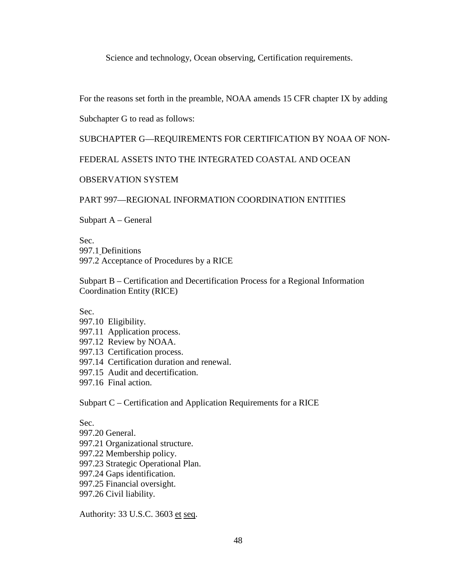Science and technology, Ocean observing, Certification requirements.

For the reasons set forth in the preamble, NOAA amends 15 CFR chapter IX by adding

Subchapter G to read as follows:

# SUBCHAPTER G—REQUIREMENTS FOR CERTIFICATION BY NOAA OF NON-

FEDERAL ASSETS INTO THE INTEGRATED COASTAL AND OCEAN

# OBSERVATION SYSTEM

# PART 997—REGIONAL INFORMATION COORDINATION ENTITIES

Subpart A – General

Sec. 997.1 Definitions 997.2 Acceptance of Procedures by a RICE

Subpart B – Certification and Decertification Process for a Regional Information Coordination Entity (RICE)

Sec.

997.10 Eligibility. 997.11 Application process. 997.12 Review by NOAA. 997.13 Certification process. 997.14 Certification duration and renewal. 997.15 Audit and decertification. 997.16 Final action.

Subpart C – Certification and Application Requirements for a RICE

Sec. 997.20 General. 997.21 Organizational structure. 997.22 Membership policy. 997.23 Strategic Operational Plan. 997.24 Gaps identification. 997.25 Financial oversight. 997.26 Civil liability.

Authority: 33 U.S.C. 3603 et seq.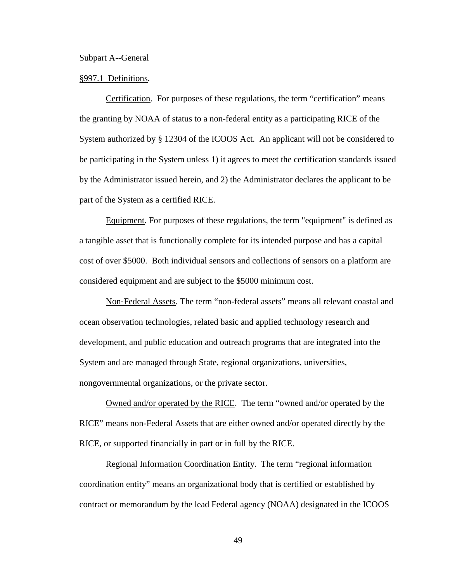Subpart A--General

### §997.1 Definitions.

Certification. For purposes of these regulations, the term "certification" means the granting by NOAA of status to a non-federal entity as a participating RICE of the System authorized by § 12304 of the ICOOS Act. An applicant will not be considered to be participating in the System unless 1) it agrees to meet the certification standards issued by the Administrator issued herein, and 2) the Administrator declares the applicant to be part of the System as a certified RICE.

Equipment. For purposes of these regulations, the term "equipment" is defined as a tangible asset that is functionally complete for its intended purpose and has a capital cost of over \$5000. Both individual sensors and collections of sensors on a platform are considered equipment and are subject to the \$5000 minimum cost.

Non‐Federal Assets. The term "non-federal assets" means all relevant coastal and ocean observation technologies, related basic and applied technology research and development, and public education and outreach programs that are integrated into the System and are managed through State, regional organizations, universities, nongovernmental organizations, or the private sector.

Owned and/or operated by the RICE. The term "owned and/or operated by the RICE" means non-Federal Assets that are either owned and/or operated directly by the RICE, or supported financially in part or in full by the RICE.

Regional Information Coordination Entity. The term "regional information coordination entity" means an organizational body that is certified or established by contract or memorandum by the lead Federal agency (NOAA) designated in the ICOOS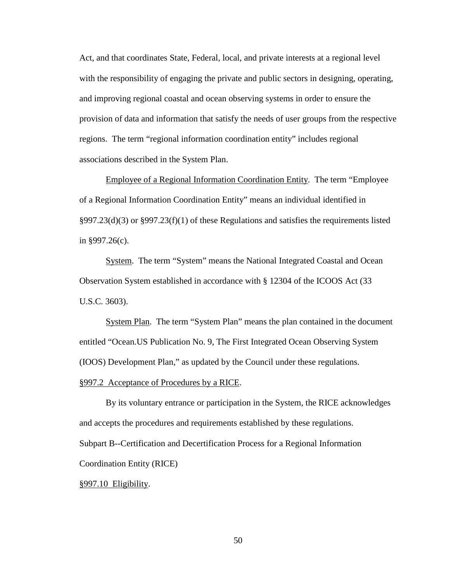Act, and that coordinates State, Federal, local, and private interests at a regional level with the responsibility of engaging the private and public sectors in designing, operating, and improving regional coastal and ocean observing systems in order to ensure the provision of data and information that satisfy the needs of user groups from the respective regions. The term "regional information coordination entity" includes regional associations described in the System Plan.

Employee of a Regional Information Coordination Entity. The term "Employee of a Regional Information Coordination Entity" means an individual identified in §997.23(d)(3) or §997.23(f)(1) of these Regulations and satisfies the requirements listed in §997.26(c).

System. The term "System" means the National Integrated Coastal and Ocean Observation System established in accordance with § 12304 of the ICOOS Act (33 U.S.C. 3603).

System Plan. The term "System Plan" means the plan contained in the document entitled "Ocean.US Publication No. 9, The First Integrated Ocean Observing System (IOOS) Development Plan," as updated by the Council under these regulations.

## §997.2 Acceptance of Procedures by a RICE.

By its voluntary entrance or participation in the System, the RICE acknowledges and accepts the procedures and requirements established by these regulations. Subpart B--Certification and Decertification Process for a Regional Information Coordination Entity (RICE)

# §997.10 Eligibility.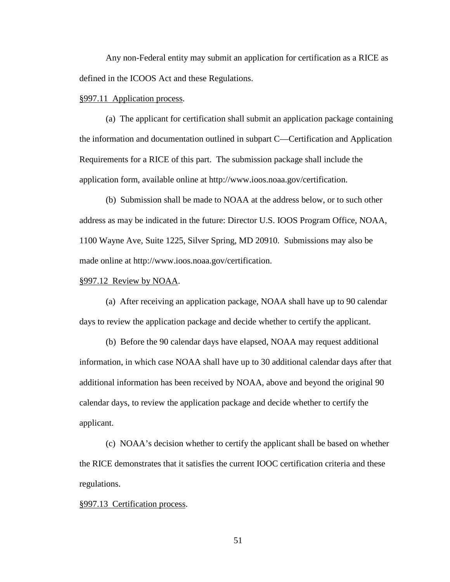Any non-Federal entity may submit an application for certification as a RICE as defined in the ICOOS Act and these Regulations.

#### §997.11 Application process.

(a) The applicant for certification shall submit an application package containing the information and documentation outlined in subpart C—Certification and Application Requirements for a RICE of this part. The submission package shall include the application form, available online at http://www.ioos.noaa.gov/certification.

(b) Submission shall be made to NOAA at the address below, or to such other address as may be indicated in the future: Director U.S. IOOS Program Office, NOAA, 1100 Wayne Ave, Suite 1225, Silver Spring, MD 20910. Submissions may also be made online at http://www.ioos.noaa.gov/certification.

### §997.12 Review by NOAA.

(a) After receiving an application package, NOAA shall have up to 90 calendar days to review the application package and decide whether to certify the applicant.

(b) Before the 90 calendar days have elapsed, NOAA may request additional information, in which case NOAA shall have up to 30 additional calendar days after that additional information has been received by NOAA, above and beyond the original 90 calendar days, to review the application package and decide whether to certify the applicant.

(c) NOAA's decision whether to certify the applicant shall be based on whether the RICE demonstrates that it satisfies the current IOOC certification criteria and these regulations.

#### §997.13 Certification process.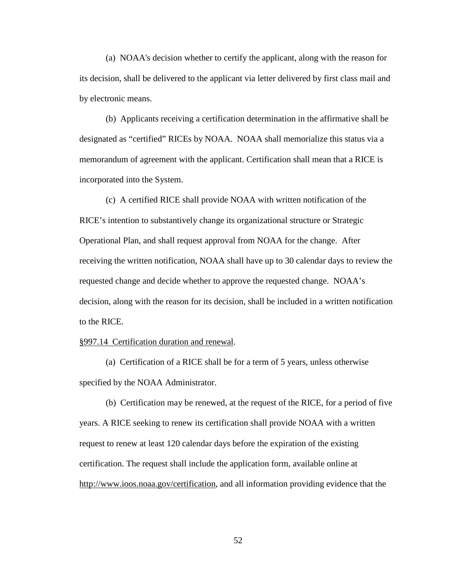(a) NOAA's decision whether to certify the applicant, along with the reason for its decision, shall be delivered to the applicant via letter delivered by first class mail and by electronic means.

(b) Applicants receiving a certification determination in the affirmative shall be designated as "certified" RICEs by NOAA. NOAA shall memorialize this status via a memorandum of agreement with the applicant. Certification shall mean that a RICE is incorporated into the System.

(c) A certified RICE shall provide NOAA with written notification of the RICE's intention to substantively change its organizational structure or Strategic Operational Plan, and shall request approval from NOAA for the change. After receiving the written notification, NOAA shall have up to 30 calendar days to review the requested change and decide whether to approve the requested change. NOAA's decision, along with the reason for its decision, shall be included in a written notification to the RICE.

### §997.14 Certification duration and renewal.

(a) Certification of a RICE shall be for a term of 5 years, unless otherwise specified by the NOAA Administrator.

(b) Certification may be renewed, at the request of the RICE, for a period of five years. A RICE seeking to renew its certification shall provide NOAA with a written request to renew at least 120 calendar days before the expiration of the existing certification. The request shall include the application form, available online at http://www.ioos.noaa.gov/certification, and all information providing evidence that the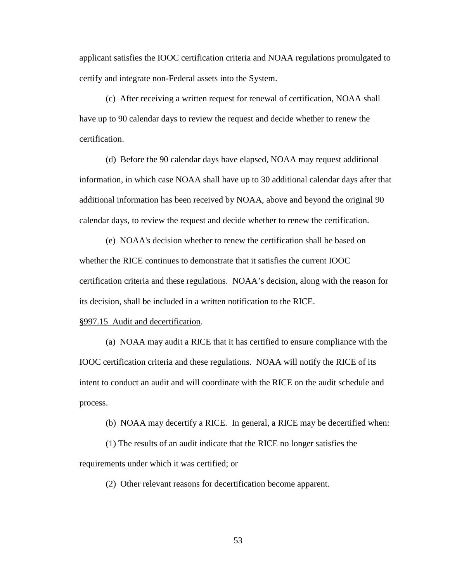applicant satisfies the IOOC certification criteria and NOAA regulations promulgated to certify and integrate non-Federal assets into the System.

(c) After receiving a written request for renewal of certification, NOAA shall have up to 90 calendar days to review the request and decide whether to renew the certification.

(d) Before the 90 calendar days have elapsed, NOAA may request additional information, in which case NOAA shall have up to 30 additional calendar days after that additional information has been received by NOAA, above and beyond the original 90 calendar days, to review the request and decide whether to renew the certification.

(e) NOAA's decision whether to renew the certification shall be based on whether the RICE continues to demonstrate that it satisfies the current IOOC certification criteria and these regulations. NOAA's decision, along with the reason for its decision, shall be included in a written notification to the RICE.

#### §997.15 Audit and decertification.

(a) NOAA may audit a RICE that it has certified to ensure compliance with the IOOC certification criteria and these regulations. NOAA will notify the RICE of its intent to conduct an audit and will coordinate with the RICE on the audit schedule and process.

(b) NOAA may decertify a RICE. In general, a RICE may be decertified when:

(1) The results of an audit indicate that the RICE no longer satisfies the requirements under which it was certified; or

(2) Other relevant reasons for decertification become apparent.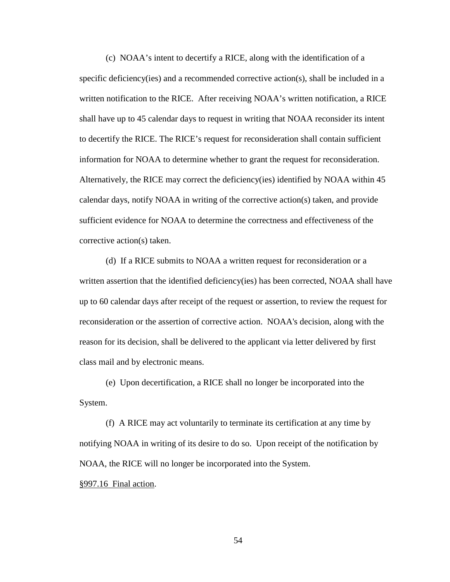(c) NOAA's intent to decertify a RICE, along with the identification of a specific deficiency(ies) and a recommended corrective action(s), shall be included in a written notification to the RICE. After receiving NOAA's written notification, a RICE shall have up to 45 calendar days to request in writing that NOAA reconsider its intent to decertify the RICE. The RICE's request for reconsideration shall contain sufficient information for NOAA to determine whether to grant the request for reconsideration. Alternatively, the RICE may correct the deficiency(ies) identified by NOAA within 45 calendar days, notify NOAA in writing of the corrective action(s) taken, and provide sufficient evidence for NOAA to determine the correctness and effectiveness of the corrective action(s) taken.

(d) If a RICE submits to NOAA a written request for reconsideration or a written assertion that the identified deficiency(ies) has been corrected, NOAA shall have up to 60 calendar days after receipt of the request or assertion, to review the request for reconsideration or the assertion of corrective action. NOAA's decision, along with the reason for its decision, shall be delivered to the applicant via letter delivered by first class mail and by electronic means.

(e) Upon decertification, a RICE shall no longer be incorporated into the System.

(f) A RICE may act voluntarily to terminate its certification at any time by notifying NOAA in writing of its desire to do so. Upon receipt of the notification by NOAA, the RICE will no longer be incorporated into the System. §997.16 Final action.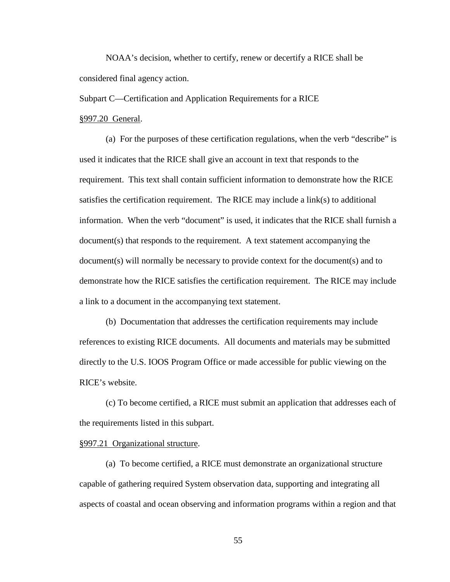NOAA's decision, whether to certify, renew or decertify a RICE shall be considered final agency action.

Subpart C—Certification and Application Requirements for a RICE

### §997.20 General.

(a) For the purposes of these certification regulations, when the verb "describe" is used it indicates that the RICE shall give an account in text that responds to the requirement. This text shall contain sufficient information to demonstrate how the RICE satisfies the certification requirement. The RICE may include a link(s) to additional information. When the verb "document" is used, it indicates that the RICE shall furnish a document(s) that responds to the requirement. A text statement accompanying the document(s) will normally be necessary to provide context for the document(s) and to demonstrate how the RICE satisfies the certification requirement. The RICE may include a link to a document in the accompanying text statement.

(b) Documentation that addresses the certification requirements may include references to existing RICE documents. All documents and materials may be submitted directly to the U.S. IOOS Program Office or made accessible for public viewing on the RICE's website.

(c) To become certified, a RICE must submit an application that addresses each of the requirements listed in this subpart.

## §997.21 Organizational structure.

(a) To become certified, a RICE must demonstrate an organizational structure capable of gathering required System observation data, supporting and integrating all aspects of coastal and ocean observing and information programs within a region and that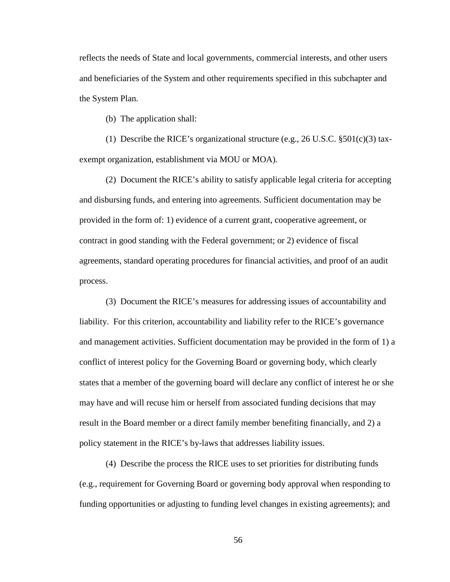reflects the needs of State and local governments, commercial interests, and other users and beneficiaries of the System and other requirements specified in this subchapter and the System Plan.

(b) The application shall:

(1) Describe the RICE's organizational structure (e.g., 26 U.S.C.  $\S501(c)(3)$  taxexempt organization, establishment via MOU or MOA).

(2) Document the RICE's ability to satisfy applicable legal criteria for accepting and disbursing funds, and entering into agreements. Sufficient documentation may be provided in the form of: 1) evidence of a current grant, cooperative agreement, or contract in good standing with the Federal government; or 2) evidence of fiscal agreements, standard operating procedures for financial activities, and proof of an audit process.

(3) Document the RICE's measures for addressing issues of accountability and liability. For this criterion, accountability and liability refer to the RICE's governance and management activities. Sufficient documentation may be provided in the form of 1) a conflict of interest policy for the Governing Board or governing body, which clearly states that a member of the governing board will declare any conflict of interest he or she may have and will recuse him or herself from associated funding decisions that may result in the Board member or a direct family member benefiting financially, and 2) a policy statement in the RICE's by-laws that addresses liability issues.

(4) Describe the process the RICE uses to set priorities for distributing funds (e.g., requirement for Governing Board or governing body approval when responding to funding opportunities or adjusting to funding level changes in existing agreements); and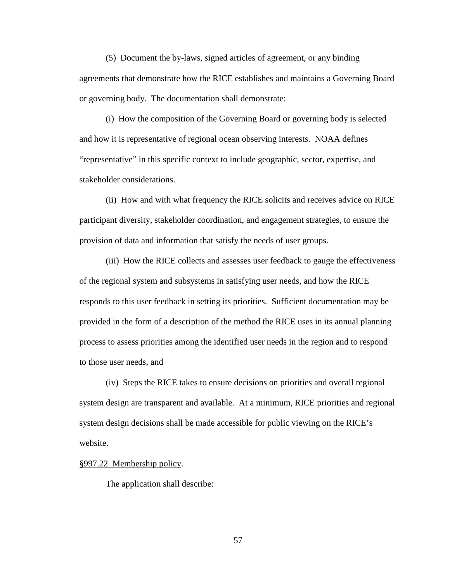(5) Document the by-laws, signed articles of agreement, or any binding agreements that demonstrate how the RICE establishes and maintains a Governing Board or governing body. The documentation shall demonstrate:

(i) How the composition of the Governing Board or governing body is selected and how it is representative of regional ocean observing interests. NOAA defines "representative" in this specific context to include geographic, sector, expertise, and stakeholder considerations.

(ii) How and with what frequency the RICE solicits and receives advice on RICE participant diversity, stakeholder coordination, and engagement strategies, to ensure the provision of data and information that satisfy the needs of user groups.

(iii) How the RICE collects and assesses user feedback to gauge the effectiveness of the regional system and subsystems in satisfying user needs, and how the RICE responds to this user feedback in setting its priorities. Sufficient documentation may be provided in the form of a description of the method the RICE uses in its annual planning process to assess priorities among the identified user needs in the region and to respond to those user needs, and

(iv) Steps the RICE takes to ensure decisions on priorities and overall regional system design are transparent and available. At a minimum, RICE priorities and regional system design decisions shall be made accessible for public viewing on the RICE's website.

§997.22 Membership policy.

The application shall describe: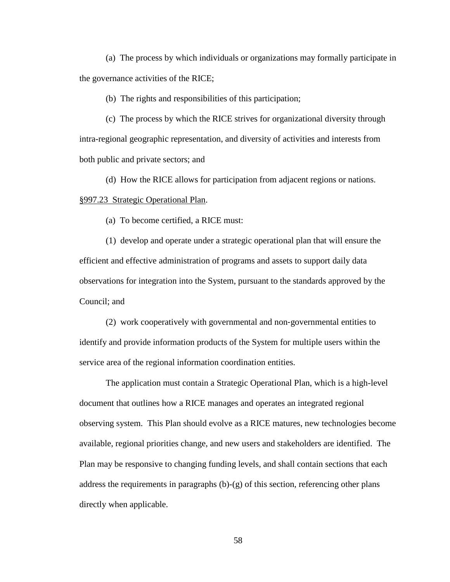(a) The process by which individuals or organizations may formally participate in the governance activities of the RICE;

(b) The rights and responsibilities of this participation;

(c) The process by which the RICE strives for organizational diversity through intra-regional geographic representation, and diversity of activities and interests from both public and private sectors; and

(d) How the RICE allows for participation from adjacent regions or nations. §997.23 Strategic Operational Plan.

(a) To become certified, a RICE must:

(1) develop and operate under a strategic operational plan that will ensure the efficient and effective administration of programs and assets to support daily data observations for integration into the System, pursuant to the standards approved by the Council; and

(2) work cooperatively with governmental and non‐governmental entities to identify and provide information products of the System for multiple users within the service area of the regional information coordination entities.

The application must contain a Strategic Operational Plan, which is a high-level document that outlines how a RICE manages and operates an integrated regional observing system. This Plan should evolve as a RICE matures, new technologies become available, regional priorities change, and new users and stakeholders are identified. The Plan may be responsive to changing funding levels, and shall contain sections that each address the requirements in paragraphs (b)-(g) of this section, referencing other plans directly when applicable.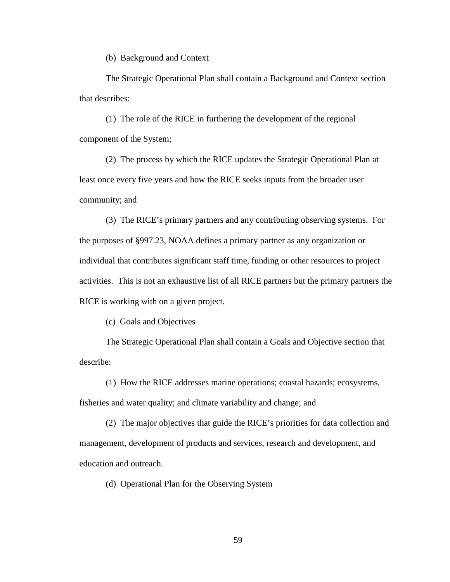(b) Background and Context

The Strategic Operational Plan shall contain a Background and Context section that describes:

(1) The role of the RICE in furthering the development of the regional component of the System;

(2) The process by which the RICE updates the Strategic Operational Plan at least once every five years and how the RICE seeks inputs from the broader user community; and

(3) The RICE's primary partners and any contributing observing systems. For the purposes of §997.23, NOAA defines a primary partner as any organization or individual that contributes significant staff time, funding or other resources to project activities. This is not an exhaustive list of all RICE partners but the primary partners the RICE is working with on a given project.

(c) Goals and Objectives

The Strategic Operational Plan shall contain a Goals and Objective section that describe:

(1) How the RICE addresses marine operations; coastal hazards; ecosystems, fisheries and water quality; and climate variability and change; and

(2) The major objectives that guide the RICE's priorities for data collection and management, development of products and services, research and development, and education and outreach.

(d) Operational Plan for the Observing System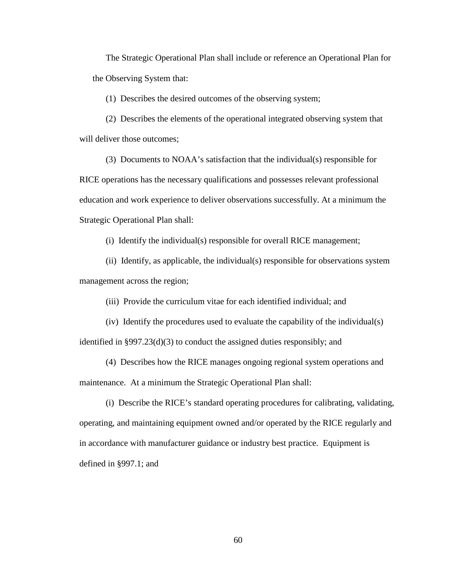The Strategic Operational Plan shall include or reference an Operational Plan for the Observing System that:

(1) Describes the desired outcomes of the observing system;

(2) Describes the elements of the operational integrated observing system that will deliver those outcomes;

(3) Documents to NOAA's satisfaction that the individual(s) responsible for RICE operations has the necessary qualifications and possesses relevant professional education and work experience to deliver observations successfully. At a minimum the Strategic Operational Plan shall:

(i) Identify the individual(s) responsible for overall RICE management;

(ii) Identify, as applicable, the individual(s) responsible for observations system management across the region;

(iii) Provide the curriculum vitae for each identified individual; and

(iv) Identify the procedures used to evaluate the capability of the individual(s) identified in §997.23(d)(3) to conduct the assigned duties responsibly; and

(4) Describes how the RICE manages ongoing regional system operations and maintenance. At a minimum the Strategic Operational Plan shall:

(i) Describe the RICE's standard operating procedures for calibrating, validating, operating, and maintaining equipment owned and/or operated by the RICE regularly and in accordance with manufacturer guidance or industry best practice. Equipment is defined in §997.1; and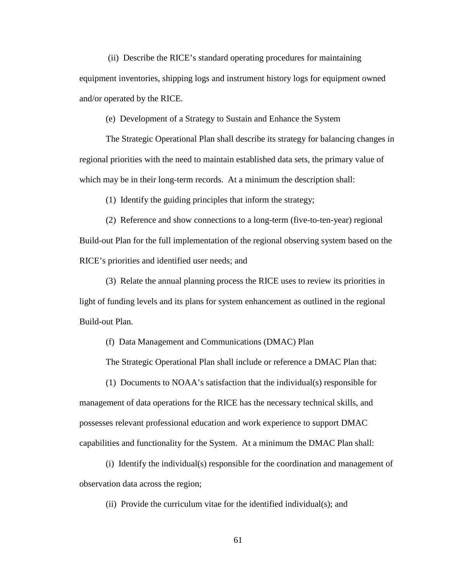(ii) Describe the RICE's standard operating procedures for maintaining equipment inventories, shipping logs and instrument history logs for equipment owned and/or operated by the RICE.

(e) Development of a Strategy to Sustain and Enhance the System

The Strategic Operational Plan shall describe its strategy for balancing changes in regional priorities with the need to maintain established data sets, the primary value of which may be in their long-term records. At a minimum the description shall:

(1) Identify the guiding principles that inform the strategy;

(2) Reference and show connections to a long-term (five-to-ten-year) regional Build-out Plan for the full implementation of the regional observing system based on the RICE's priorities and identified user needs; and

(3) Relate the annual planning process the RICE uses to review its priorities in light of funding levels and its plans for system enhancement as outlined in the regional Build-out Plan.

(f) Data Management and Communications (DMAC) Plan

The Strategic Operational Plan shall include or reference a DMAC Plan that:

(1) Documents to NOAA's satisfaction that the individual(s) responsible for management of data operations for the RICE has the necessary technical skills, and possesses relevant professional education and work experience to support DMAC capabilities and functionality for the System. At a minimum the DMAC Plan shall:

(i) Identify the individual(s) responsible for the coordination and management of observation data across the region;

(ii) Provide the curriculum vitae for the identified individual(s); and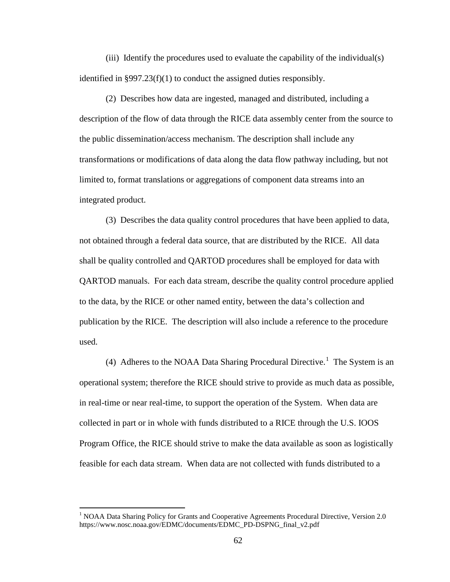(iii) Identify the procedures used to evaluate the capability of the individual(s) identified in §997.23(f)(1) to conduct the assigned duties responsibly.

(2) Describes how data are ingested, managed and distributed, including a description of the flow of data through the RICE data assembly center from the source to the public dissemination/access mechanism. The description shall include any transformations or modifications of data along the data flow pathway including, but not limited to, format translations or aggregations of component data streams into an integrated product.

(3) Describes the data quality control procedures that have been applied to data, not obtained through a federal data source, that are distributed by the RICE. All data shall be quality controlled and QARTOD procedures shall be employed for data with QARTOD manuals. For each data stream, describe the quality control procedure applied to the data, by the RICE or other named entity, between the data's collection and publication by the RICE. The description will also include a reference to the procedure used.

(4) Adheres to the NOAA Data Sharing Procedural Directive.<sup>[1](#page-61-0)</sup> The System is an operational system; therefore the RICE should strive to provide as much data as possible, in real-time or near real-time, to support the operation of the System. When data are collected in part or in whole with funds distributed to a RICE through the U.S. IOOS Program Office, the RICE should strive to make the data available as soon as logistically feasible for each data stream. When data are not collected with funds distributed to a

 $\overline{a}$ 

<span id="page-61-0"></span><sup>&</sup>lt;sup>1</sup> NOAA Data Sharing Policy for Grants and Cooperative Agreements Procedural Directive, Version 2.0 https://www.nosc.noaa.gov/EDMC/documents/EDMC\_PD-DSPNG\_final\_v2.pdf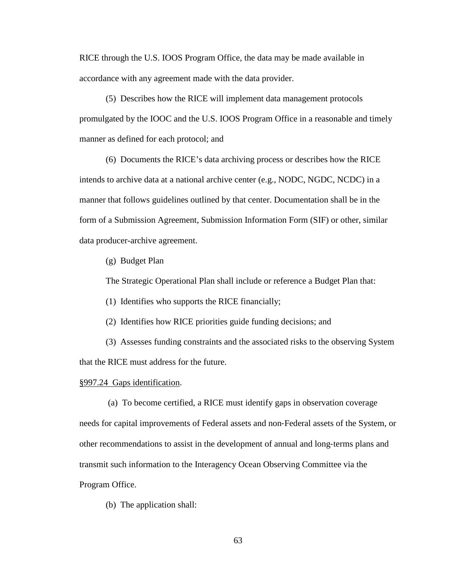RICE through the U.S. IOOS Program Office, the data may be made available in accordance with any agreement made with the data provider.

(5) Describes how the RICE will implement data management protocols promulgated by the IOOC and the U.S. IOOS Program Office in a reasonable and timely manner as defined for each protocol; and

(6) Documents the RICE's data archiving process or describes how the RICE intends to archive data at a national archive center (e.g., NODC, NGDC, NCDC) in a manner that follows guidelines outlined by that center. Documentation shall be in the form of a Submission Agreement, Submission Information Form (SIF) or other, similar data producer-archive agreement.

(g) Budget Plan

The Strategic Operational Plan shall include or reference a Budget Plan that:

(1) Identifies who supports the RICE financially;

(2) Identifies how RICE priorities guide funding decisions; and

(3) Assesses funding constraints and the associated risks to the observing System that the RICE must address for the future.

#### §997.24 Gaps identification.

(a) To become certified, a RICE must identify gaps in observation coverage needs for capital improvements of Federal assets and non‐Federal assets of the System, or other recommendations to assist in the development of annual and long‐terms plans and transmit such information to the Interagency Ocean Observing Committee via the Program Office.

(b) The application shall: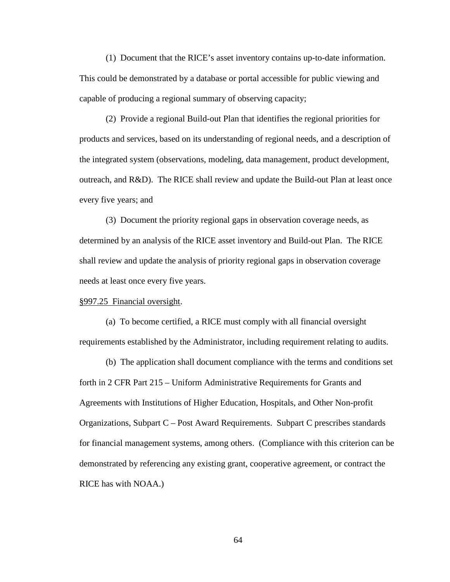(1) Document that the RICE's asset inventory contains up-to-date information. This could be demonstrated by a database or portal accessible for public viewing and capable of producing a regional summary of observing capacity;

(2) Provide a regional Build-out Plan that identifies the regional priorities for products and services, based on its understanding of regional needs, and a description of the integrated system (observations, modeling, data management, product development, outreach, and R&D). The RICE shall review and update the Build-out Plan at least once every five years; and

(3) Document the priority regional gaps in observation coverage needs, as determined by an analysis of the RICE asset inventory and Build-out Plan. The RICE shall review and update the analysis of priority regional gaps in observation coverage needs at least once every five years.

## §997.25 Financial oversight.

(a) To become certified, a RICE must comply with all financial oversight requirements established by the Administrator, including requirement relating to audits.

(b) The application shall document compliance with the terms and conditions set forth in 2 CFR Part 215 – Uniform Administrative Requirements for Grants and Agreements with Institutions of Higher Education, Hospitals, and Other Non-profit Organizations, Subpart C – Post Award Requirements. Subpart C prescribes standards for financial management systems, among others. (Compliance with this criterion can be demonstrated by referencing any existing grant, cooperative agreement, or contract the RICE has with NOAA.)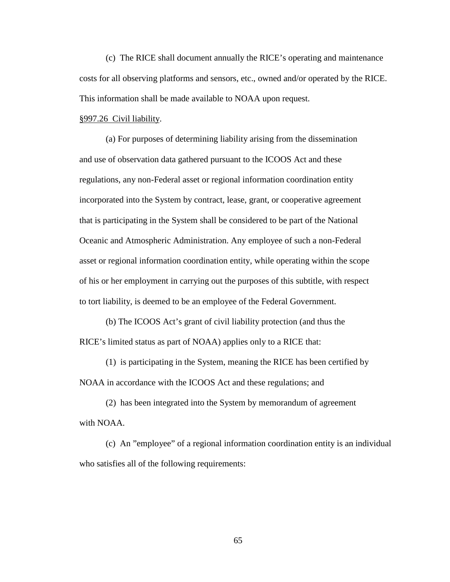(c) The RICE shall document annually the RICE's operating and maintenance costs for all observing platforms and sensors, etc., owned and/or operated by the RICE. This information shall be made available to NOAA upon request.

## §997.26 Civil liability.

(a) For purposes of determining liability arising from the dissemination and use of observation data gathered pursuant to the ICOOS Act and these regulations, any non-Federal asset or regional information coordination entity incorporated into the System by contract, lease, grant, or cooperative agreement that is participating in the System shall be considered to be part of the National Oceanic and Atmospheric Administration. Any employee of such a non-Federal asset or regional information coordination entity, while operating within the scope of his or her employment in carrying out the purposes of this subtitle, with respect to tort liability, is deemed to be an employee of the Federal Government.

(b) The ICOOS Act's grant of civil liability protection (and thus the RICE's limited status as part of NOAA) applies only to a RICE that:

(1) is participating in the System, meaning the RICE has been certified by NOAA in accordance with the ICOOS Act and these regulations; and

(2) has been integrated into the System by memorandum of agreement with NOAA.

(c) An "employee" of a regional information coordination entity is an individual who satisfies all of the following requirements: